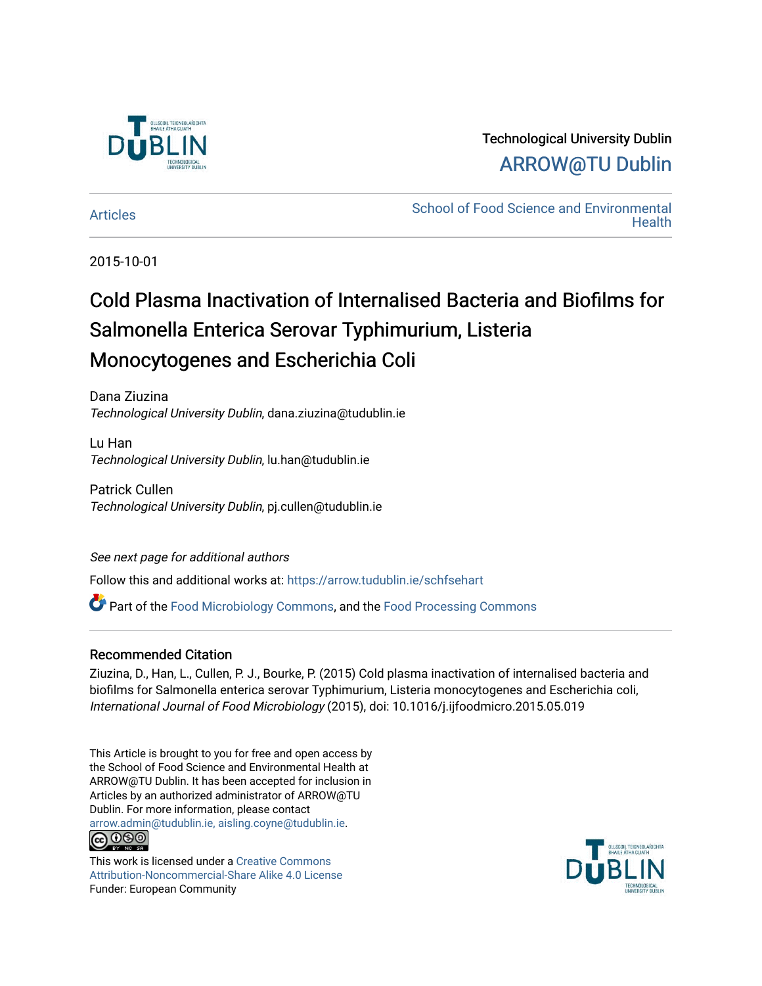

### Technological University Dublin [ARROW@TU Dublin](https://arrow.tudublin.ie/)

[Articles](https://arrow.tudublin.ie/schfsehart) **School of Food Science and Environmental Health** 

2015-10-01

# Cold Plasma Inactivation of Internalised Bacteria and Biofilms for Salmonella Enterica Serovar Typhimurium, Listeria Monocytogenes and Escherichia Coli

Dana Ziuzina Technological University Dublin, dana.ziuzina@tudublin.ie

Lu Han Technological University Dublin, lu.han@tudublin.ie

Patrick Cullen Technological University Dublin, pj.cullen@tudublin.ie

See next page for additional authors

Follow this and additional works at: [https://arrow.tudublin.ie/schfsehart](https://arrow.tudublin.ie/schfsehart?utm_source=arrow.tudublin.ie%2Fschfsehart%2F155&utm_medium=PDF&utm_campaign=PDFCoverPages) 

Part of the [Food Microbiology Commons](http://network.bepress.com/hgg/discipline/86?utm_source=arrow.tudublin.ie%2Fschfsehart%2F155&utm_medium=PDF&utm_campaign=PDFCoverPages), and the [Food Processing Commons](http://network.bepress.com/hgg/discipline/85?utm_source=arrow.tudublin.ie%2Fschfsehart%2F155&utm_medium=PDF&utm_campaign=PDFCoverPages) 

### Recommended Citation

Ziuzina, D., Han, L., Cullen, P. J., Bourke, P. (2015) Cold plasma inactivation of internalised bacteria and biofilms for Salmonella enterica serovar Typhimurium, Listeria monocytogenes and Escherichia coli, International Journal of Food Microbiology (2015), doi: 10.1016/j.ijfoodmicro.2015.05.019

This Article is brought to you for free and open access by the School of Food Science and Environmental Health at ARROW@TU Dublin. It has been accepted for inclusion in Articles by an authorized administrator of ARROW@TU Dublin. For more information, please contact [arrow.admin@tudublin.ie, aisling.coyne@tudublin.ie](mailto:arrow.admin@tudublin.ie,%20aisling.coyne@tudublin.ie). **@@@** 

This work is licensed under a [Creative Commons](http://creativecommons.org/licenses/by-nc-sa/4.0/) [Attribution-Noncommercial-Share Alike 4.0 License](http://creativecommons.org/licenses/by-nc-sa/4.0/) Funder: European Community

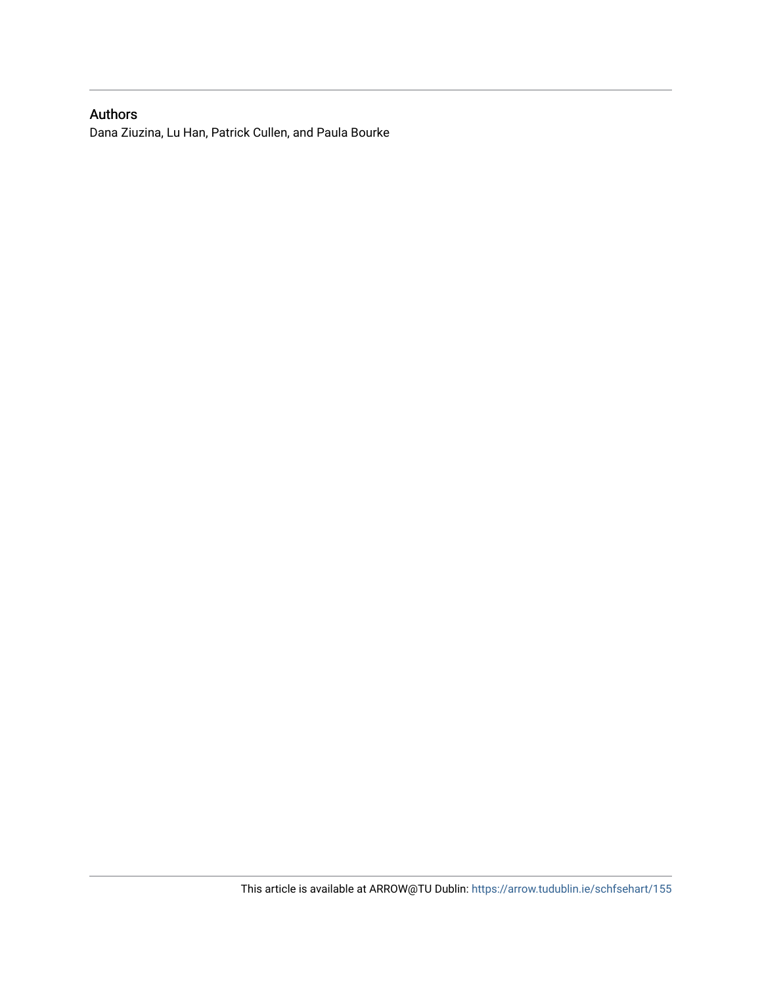### Authors

Dana Ziuzina, Lu Han, Patrick Cullen, and Paula Bourke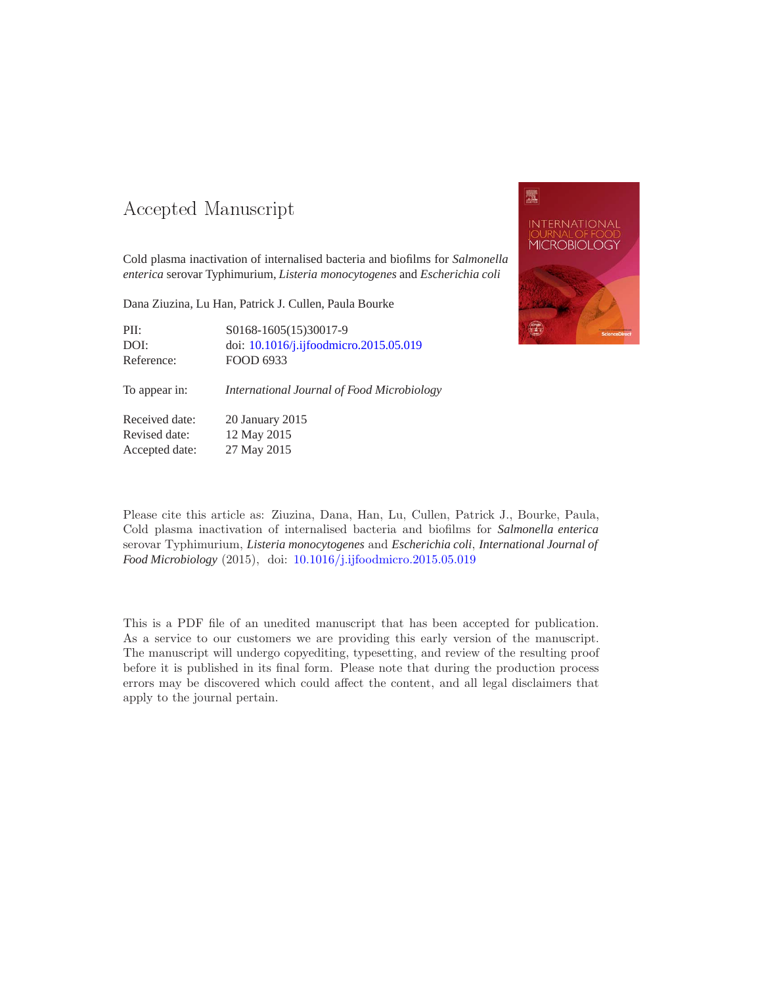### -- -

Cold plasma inactivation of internalised bacteria and biofilms for *Salmonella enterica* serovar Typhimurium, *Listeria monocytogenes* and *Escherichia coli*

Dana Ziuzina, Lu Han, Patrick J. Cullen, Paula Bourke

PII: S0168-1605(15)30017-9 DOI: doi: [10.1016/j.ijfoodmicro.2015.05.019](http://dx.doi.org/10.1016/j.ijfoodmicro.2015.05.019) Reference: FOOD 6933

To appear in: *International Journal of Food Microbiology*

Received date: 20 January 2015 Revised date: 12 May 2015 Accepted date: 27 May 2015



Please cite this article as: Ziuzina, Dana, Han, Lu, Cullen, Patrick J., Bourke, Paula, Cold plasma inactivation of internalised bacteria and biofilms for *Salmonella enterica* serovar Typhimurium, *Listeria monocytogenes* and *Escherichia coli*, *International Journal of Food Microbiology* (2015), doi: [10.1016/j.ijfoodmicro.2015.05.019](http://dx.doi.org/10.1016/j.ijfoodmicro.2015.05.019)

This is a PDF file of an unedited manuscript that has been accepted for publication. As a service to our customers we are providing this early version of the manuscript. The manuscript will undergo copyediting, typesetting, and review of the resulting proof before it is published in its final form. Please note that during the production process errors may be discovered which could affect the content, and all legal disclaimers that apply to the journal pertain.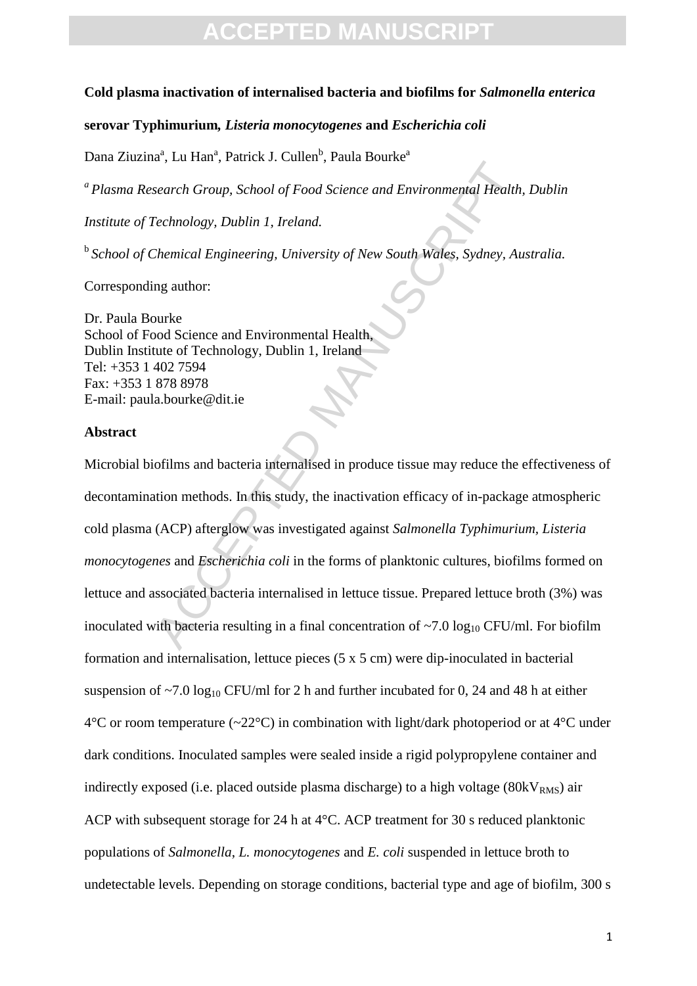# **CCEPTED MANIL**

#### **Cold plasma inactivation of internalised bacteria and biofilms for** *Salmonella enterica*

#### **serovar Typhimurium***, Listeria monocytogenes* **and** *Escherichia coli*

Dana Ziuzina<sup>a</sup>, Lu Han<sup>a</sup>, Patrick J. Cullen<sup>b</sup>, Paula Bourke<sup>a</sup>

*a Plasma Research Group, School of Food Science and Environmental Health, Dublin* 

*Institute of Technology, Dublin 1, Ireland.*

b *School of Chemical Engineering, University of New South Wales, Sydney, Australia.*

Corresponding author:

Dr. Paula Bourke School of Food Science and Environmental Health, Dublin Institute of Technology, Dublin 1, Ireland Tel: +353 1 402 7594 Fax: +353 1 878 8978 E-mail: paula.bourke@dit.ie

#### **Abstract**

search Group, School of Food Science and Environmental Health<br>Fechnology, Dublin 1, Ireland.<br>Themical Engineering, University of New South Wales, Sydney, Au<br>ng author:<br>Demical Engineering, University of New South Wales, Sy Microbial biofilms and bacteria internalised in produce tissue may reduce the effectiveness of decontamination methods. In this study, the inactivation efficacy of in-package atmospheric cold plasma (ACP) afterglow was investigated against *Salmonella Typhimurium, Listeria monocytogenes* and *Escherichia coli* in the forms of planktonic cultures, biofilms formed on lettuce and associated bacteria internalised in lettuce tissue. Prepared lettuce broth (3%) was inoculated with bacteria resulting in a final concentration of  $\sim$ 7.0 log<sub>10</sub> CFU/ml. For biofilm formation and internalisation, lettuce pieces (5 x 5 cm) were dip-inoculated in bacterial suspension of  $\sim$ 7.0 log<sub>10</sub> CFU/ml for 2 h and further incubated for 0, 24 and 48 h at either  $4^{\circ}$ C or room temperature (~22 $^{\circ}$ C) in combination with light/dark photoperiod or at  $4^{\circ}$ C under dark conditions. Inoculated samples were sealed inside a rigid polypropylene container and indirectly exposed (i.e. placed outside plasma discharge) to a high voltage ( $80kV<sub>RMS</sub>$ ) air ACP with subsequent storage for 24 h at 4°C. ACP treatment for 30 s reduced planktonic populations of *Salmonella*, *L. monocytogenes* and *E. coli* suspended in lettuce broth to undetectable levels. Depending on storage conditions, bacterial type and age of biofilm, 300 s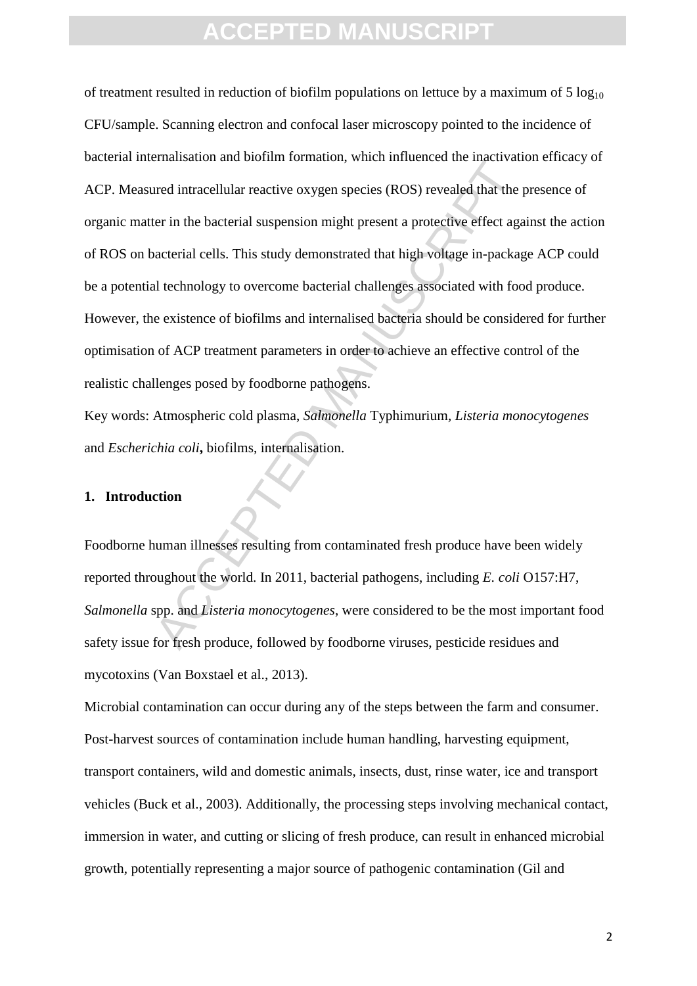Entansiation and obtain formation, which introduced the intraction<br>are intracellular reactive oxygen species (ROS) revealed that the<br>ter in the bacterial suspension might present a protective effect age<br>acterial cells. Thi of treatment resulted in reduction of biofilm populations on lettuce by a maximum of  $5 \log_{10}$ CFU/sample. Scanning electron and confocal laser microscopy pointed to the incidence of bacterial internalisation and biofilm formation, which influenced the inactivation efficacy of ACP. Measured intracellular reactive oxygen species (ROS) revealed that the presence of organic matter in the bacterial suspension might present a protective effect against the action of ROS on bacterial cells. This study demonstrated that high voltage in-package ACP could be a potential technology to overcome bacterial challenges associated with food produce. However, the existence of biofilms and internalised bacteria should be considered for further optimisation of ACP treatment parameters in order to achieve an effective control of the realistic challenges posed by foodborne pathogens.

Key words: Atmospheric cold plasma, *Salmonella* Typhimurium*, Listeria monocytogenes* and *Escherichia coli***,** biofilms, internalisation.

#### **1. Introduction**

Foodborne human illnesses resulting from contaminated fresh produce have been widely reported throughout the world. In 2011, bacterial pathogens, including *E. coli* O157:H7, *Salmonella* spp. and *Listeria monocytogenes*, were considered to be the most important food safety issue for fresh produce, followed by foodborne viruses, pesticide residues and mycotoxins (Van Boxstael et al., 2013).

Microbial contamination can occur during any of the steps between the farm and consumer. Post-harvest sources of contamination include human handling, harvesting equipment, transport containers, wild and domestic animals, insects, dust, rinse water, ice and transport vehicles (Buck et al., 2003). Additionally, the processing steps involving mechanical contact, immersion in water, and cutting or slicing of fresh produce, can result in enhanced microbial growth, potentially representing a major source of pathogenic contamination (Gil and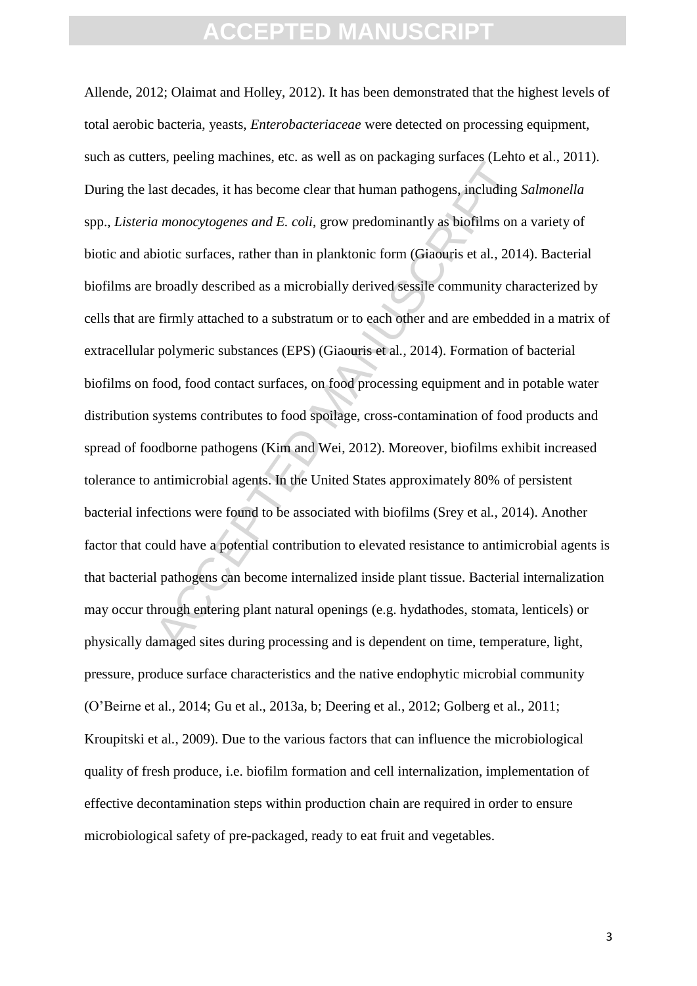and extract that human pathogens, including antionous and monocytogenes and E. coli, grow predominantly as biofilms on a monocytogenes and E. coli, grow predominantly as biofilms on a monocytogenes and E. coli, grow predom Allende, 2012; Olaimat and Holley, 2012). It has been demonstrated that the highest levels of total aerobic bacteria, yeasts, *Enterobacteriaceae* were detected on processing equipment, such as cutters, peeling machines, etc. as well as on packaging surfaces (Lehto et al., 2011). During the last decades, it has become clear that human pathogens, including *Salmonella*  spp., *Listeria monocytogenes and E. coli*, grow predominantly as biofilms on a variety of biotic and abiotic surfaces, rather than in planktonic form (Giaouris et al*.*, 2014). Bacterial biofilms are broadly described as a microbially derived sessile community characterized by cells that are firmly attached to a substratum or to each other and are embedded in a matrix of extracellular polymeric substances (EPS) (Giaouris et al*.*, 2014). Formation of bacterial biofilms on food, food contact surfaces, on food processing equipment and in potable water distribution systems contributes to food spoilage, cross-contamination of food products and spread of foodborne pathogens (Kim and Wei, 2012). Moreover, biofilms exhibit increased tolerance to antimicrobial agents. In the United States approximately 80% of persistent bacterial infections were found to be associated with biofilms (Srey et al*.*, 2014). Another factor that could have a potential contribution to elevated resistance to antimicrobial agents is that bacterial pathogens can become internalized inside plant tissue. Bacterial internalization may occur through entering plant natural openings (e.g. hydathodes, stomata, lenticels) or physically damaged sites during processing and is dependent on time, temperature, light, pressure, produce surface characteristics and the native endophytic microbial community (O'Beirne et al*.*, 2014; Gu et al., 2013a, b; Deering et al*.*, 2012; Golberg et al*.*, 2011; Kroupitski et al*.*, 2009). Due to the various factors that can influence the microbiological quality of fresh produce, i.e. biofilm formation and cell internalization, implementation of effective decontamination steps within production chain are required in order to ensure microbiological safety of pre-packaged, ready to eat fruit and vegetables.

3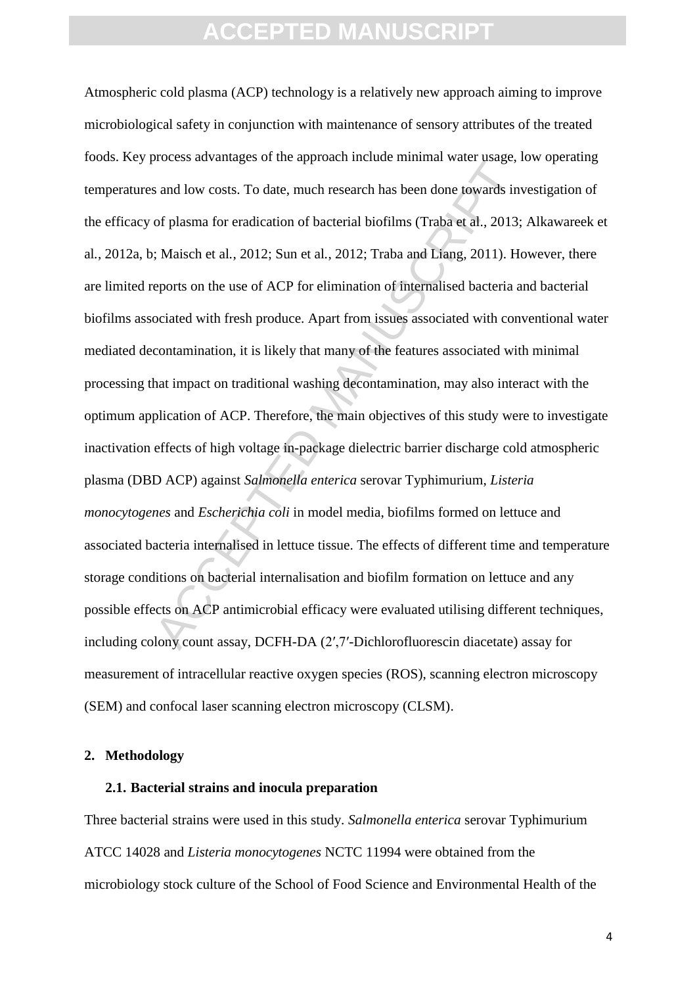is and low costs. To date, much research has been done towards in<br>of plasma for eradication of bacterial biofilms (Traba et al., 2013;<br>Maisch et al., 2012; Sun et al., 2012; Traba and Liang, 2011). He<br>eports on the use of Atmospheric cold plasma (ACP) technology is a relatively new approach aiming to improve microbiological safety in conjunction with maintenance of sensory attributes of the treated foods. Key process advantages of the approach include minimal water usage, low operating temperatures and low costs. To date, much research has been done towards investigation of the efficacy of plasma for eradication of bacterial biofilms (Traba et al., 2013; Alkawareek et al*.*, 2012a, b; Maisch et al*.*, 2012; Sun et al*.*, 2012; Traba and Liang, 2011). However, there are limited reports on the use of ACP for elimination of internalised bacteria and bacterial biofilms associated with fresh produce. Apart from issues associated with conventional water mediated decontamination, it is likely that many of the features associated with minimal processing that impact on traditional washing decontamination, may also interact with the optimum application of ACP. Therefore, the main objectives of this study were to investigate inactivation effects of high voltage in-package dielectric barrier discharge cold atmospheric plasma (DBD ACP) against *Salmonella enterica* serovar Typhimurium, *Listeria monocytogenes* and *Escherichia coli* in model media, biofilms formed on lettuce and associated bacteria internalised in lettuce tissue. The effects of different time and temperature storage conditions on bacterial internalisation and biofilm formation on lettuce and any possible effects on ACP antimicrobial efficacy were evaluated utilising different techniques, including colony count assay, DCFH-DA (2′,7′-Dichlorofluorescin diacetate) assay for measurement of intracellular reactive oxygen species (ROS), scanning electron microscopy (SEM) and confocal laser scanning electron microscopy (CLSM).

#### **2. Methodology**

#### **2.1. Bacterial strains and inocula preparation**

Three bacterial strains were used in this study. *Salmonella enterica* serovar Typhimurium ATCC 14028 and *Listeria monocytogenes* NCTC 11994 were obtained from the microbiology stock culture of the School of Food Science and Environmental Health of the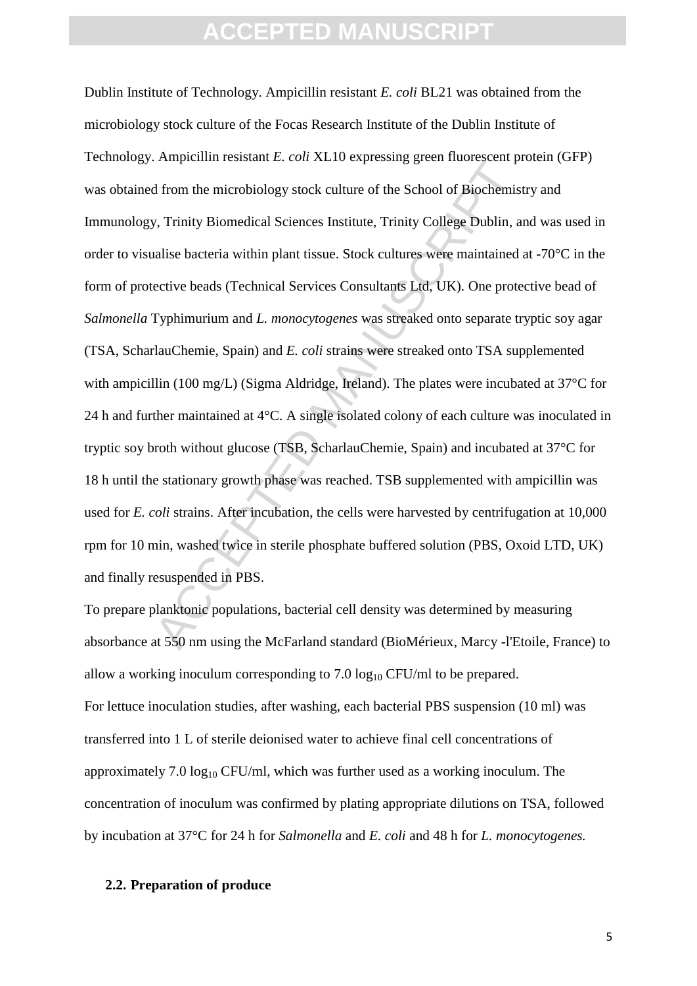Final respective to the scheme of the School of Biochemis<br>
y, Trinity Biomedical Sciences Institute, Trinity College Dublin, a<br>
alise bacteria within plant tissue. Stock cultures were maintained<br>
ective beads (Technical S Dublin Institute of Technology. Ampicillin resistant *E. coli* BL21 was obtained from the microbiology stock culture of the Focas Research Institute of the Dublin Institute of Technology. Ampicillin resistant *E. coli* XL10 expressing green fluorescent protein (GFP) was obtained from the microbiology stock culture of the School of Biochemistry and Immunology, Trinity Biomedical Sciences Institute, Trinity College Dublin, and was used in order to visualise bacteria within plant tissue. Stock cultures were maintained at -70°C in the form of protective beads (Technical Services Consultants Ltd, UK). One protective bead of *Salmonella* Typhimurium and *L. monocytogenes* was streaked onto separate tryptic soy agar (TSA, ScharlauChemie, Spain) and *E. coli* strains were streaked onto TSA supplemented with ampicillin (100 mg/L) (Sigma Aldridge, Ireland). The plates were incubated at 37<sup>o</sup>C for 24 h and further maintained at 4°C. A single isolated colony of each culture was inoculated in tryptic soy broth without glucose (TSB, ScharlauChemie, Spain) and incubated at 37°C for 18 h until the stationary growth phase was reached. TSB supplemented with ampicillin was used for *E. coli* strains. After incubation, the cells were harvested by centrifugation at 10,000 rpm for 10 min, washed twice in sterile phosphate buffered solution (PBS, Oxoid LTD, UK) and finally resuspended in PBS.

To prepare planktonic populations, bacterial cell density was determined by measuring absorbance at 550 nm using the McFarland standard (BioMérieux, Marcy -l'Etoile, France) to allow a working inoculum corresponding to  $7.0 \log_{10} CFU/ml$  to be prepared. For lettuce inoculation studies, after washing, each bacterial PBS suspension (10 ml) was transferred into 1 L of sterile deionised water to achieve final cell concentrations of approximately 7.0  $log_{10}$  CFU/ml, which was further used as a working inoculum. The concentration of inoculum was confirmed by plating appropriate dilutions on TSA, followed by incubation at 37°C for 24 h for *Salmonella* and *E. coli* and 48 h for *L. monocytogenes.*

#### **2.2. Preparation of produce**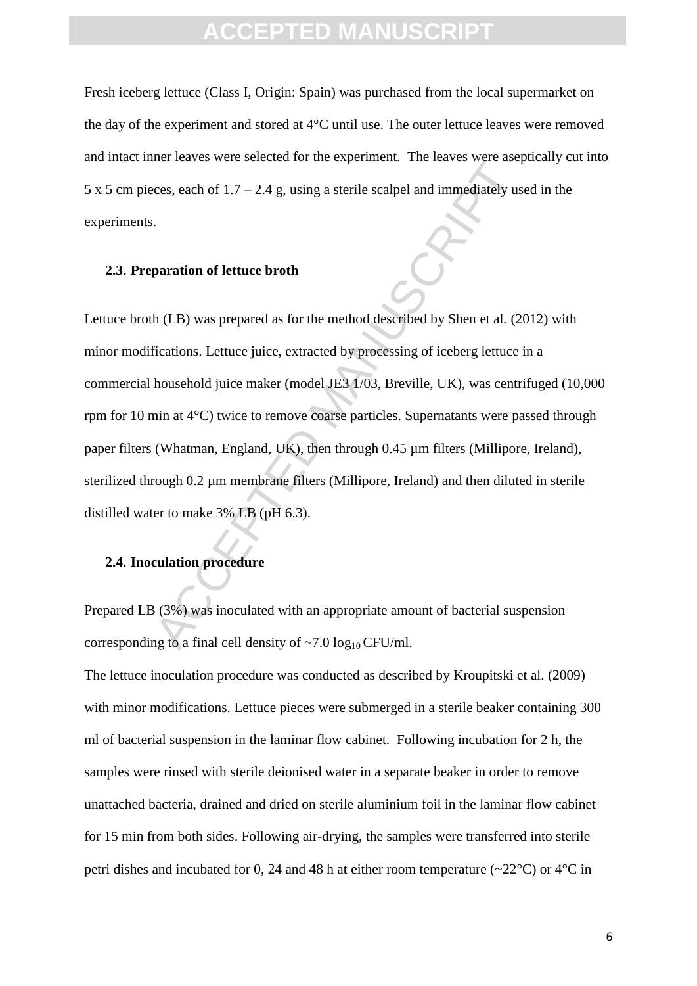Fresh iceberg lettuce (Class I, Origin: Spain) was purchased from the local supermarket on the day of the experiment and stored at 4°C until use. The outer lettuce leaves were removed and intact inner leaves were selected for the experiment. The leaves were aseptically cut into  $5 \times 5$  cm pieces, each of  $1.7 - 2.4$  g, using a sterile scalpel and immediately used in the experiments.

#### **2.3. Preparation of lettuce broth**

ces, each of 1.7 – 2.4 g, using a sterile scalpel and immediately us<br>ces, each of 1.7 – 2.4 g, using a sterile scalpel and immediately us<br>paration of lettuce broth<br> $h$  (LB) was prepared as for the method described by Shen Lettuce broth (LB) was prepared as for the method described by Shen et al*.* (2012) with minor modifications. Lettuce juice, extracted by processing of iceberg lettuce in a commercial household juice maker (model JE3 1/03, Breville, UK), was centrifuged (10,000 rpm for 10 min at 4°C) twice to remove coarse particles. Supernatants were passed through paper filters (Whatman, England, UK), then through 0.45 µm filters (Millipore, Ireland), sterilized through 0.2 um membrane filters (Millipore, Ireland) and then diluted in sterile distilled water to make 3% LB (pH 6.3).

#### **2.4. Inoculation procedure**

Prepared LB (3%) was inoculated with an appropriate amount of bacterial suspension corresponding to a final cell density of  $\sim$ 7.0 log<sub>10</sub> CFU/ml.

The lettuce inoculation procedure was conducted as described by Kroupitski et al. (2009) with minor modifications. Lettuce pieces were submerged in a sterile beaker containing 300 ml of bacterial suspension in the laminar flow cabinet. Following incubation for 2 h, the samples were rinsed with sterile deionised water in a separate beaker in order to remove unattached bacteria, drained and dried on sterile aluminium foil in the laminar flow cabinet for 15 min from both sides. Following air-drying, the samples were transferred into sterile petri dishes and incubated for 0, 24 and 48 h at either room temperature ( $\sim$ 22 $\degree$ C) or 4 $\degree$ C in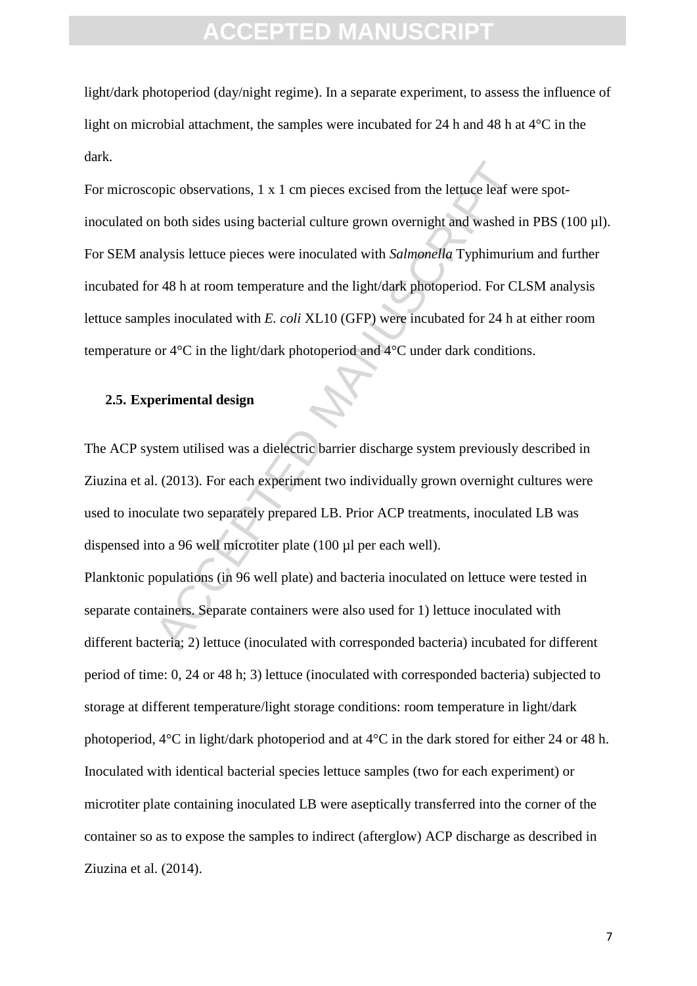light/dark photoperiod (day/night regime). In a separate experiment, to assess the influence of light on microbial attachment, the samples were incubated for 24 h and 48 h at  $4^{\circ}$ C in the dark.

opic observations, 1 x 1 cm pieces excised from the lettuce leaf we<br>n both sides using bacterial culture grown overnight and washed i<br>alysis lettuce pieces were inoculated with *Salmonella* Typhimuriu<br>or 48 h at room temp For microscopic observations, 1 x 1 cm pieces excised from the lettuce leaf were spotinoculated on both sides using bacterial culture grown overnight and washed in PBS (100 µl). For SEM analysis lettuce pieces were inoculated with *Salmonella* Typhimurium and further incubated for 48 h at room temperature and the light/dark photoperiod. For CLSM analysis lettuce samples inoculated with *E. coli* XL10 (GFP) were incubated for 24 h at either room temperature or 4°C in the light/dark photoperiod and 4°C under dark conditions.

#### **2.5. Experimental design**

The ACP system utilised was a dielectric barrier discharge system previously described in Ziuzina et al. (2013). For each experiment two individually grown overnight cultures were used to inoculate two separately prepared LB. Prior ACP treatments, inoculated LB was dispensed into a 96 well microtiter plate (100 ul per each well).

Planktonic populations (in 96 well plate) and bacteria inoculated on lettuce were tested in separate containers. Separate containers were also used for 1) lettuce inoculated with different bacteria; 2) lettuce (inoculated with corresponded bacteria) incubated for different period of time: 0, 24 or 48 h; 3) lettuce (inoculated with corresponded bacteria) subjected to storage at different temperature/light storage conditions: room temperature in light/dark photoperiod, 4°C in light/dark photoperiod and at 4°C in the dark stored for either 24 or 48 h. Inoculated with identical bacterial species lettuce samples (two for each experiment) or microtiter plate containing inoculated LB were aseptically transferred into the corner of the container so as to expose the samples to indirect (afterglow) ACP discharge as described in Ziuzina et al. (2014).

7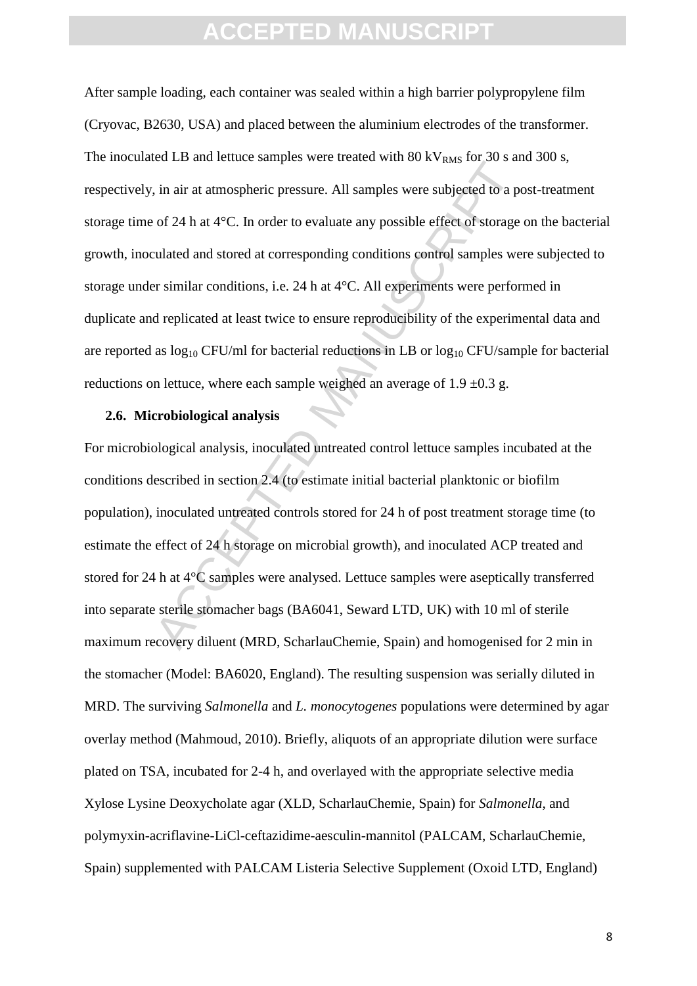is the action of the dealer samples were dealer with so  $k \cdot k_{RMS}$  for some  $k \cdot k_{RMS}$  for some of 24 h at 4°C. In order to evaluate any possible effect of storage unlated and stored at corresponding conditions control sa After sample loading, each container was sealed within a high barrier polypropylene film (Cryovac, B2630, USA) and placed between the aluminium electrodes of the transformer. The inoculated LB and lettuce samples were treated with  $80 \text{ kV}_{RMS}$  for 30 s and 300 s, respectively, in air at atmospheric pressure. All samples were subjected to a post-treatment storage time of 24 h at 4°C. In order to evaluate any possible effect of storage on the bacterial growth, inoculated and stored at corresponding conditions control samples were subjected to storage under similar conditions, i.e. 24 h at 4°C. All experiments were performed in duplicate and replicated at least twice to ensure reproducibility of the experimental data and are reported as  $log_{10}$  CFU/ml for bacterial reductions in LB or  $log_{10}$  CFU/sample for bacterial reductions on lettuce, where each sample weighed an average of  $1.9 \pm 0.3$  g.

#### **2.6. Microbiological analysis**

For microbiological analysis, inoculated untreated control lettuce samples incubated at the conditions described in section 2.4 (to estimate initial bacterial planktonic or biofilm population), inoculated untreated controls stored for 24 h of post treatment storage time (to estimate the effect of 24 h storage on microbial growth), and inoculated ACP treated and stored for 24 h at 4°C samples were analysed. Lettuce samples were aseptically transferred into separate sterile stomacher bags (BA6041, Seward LTD, UK) with 10 ml of sterile maximum recovery diluent (MRD, ScharlauChemie, Spain) and homogenised for 2 min in the stomacher (Model: BA6020, England). The resulting suspension was serially diluted in MRD. The surviving *Salmonella* and *L. monocytogenes* populations were determined by agar overlay method (Mahmoud, 2010). Briefly, aliquots of an appropriate dilution were surface plated on TSA, incubated for 2-4 h, and overlayed with the appropriate selective media Xylose Lysine Deoxycholate agar (XLD, ScharlauChemie, Spain) for *Salmonella*, and polymyxin-acriflavine-LiCl-ceftazidime-aesculin-mannitol (PALCAM, ScharlauChemie, Spain) supplemented with PALCAM Listeria Selective Supplement (Oxoid LTD, England)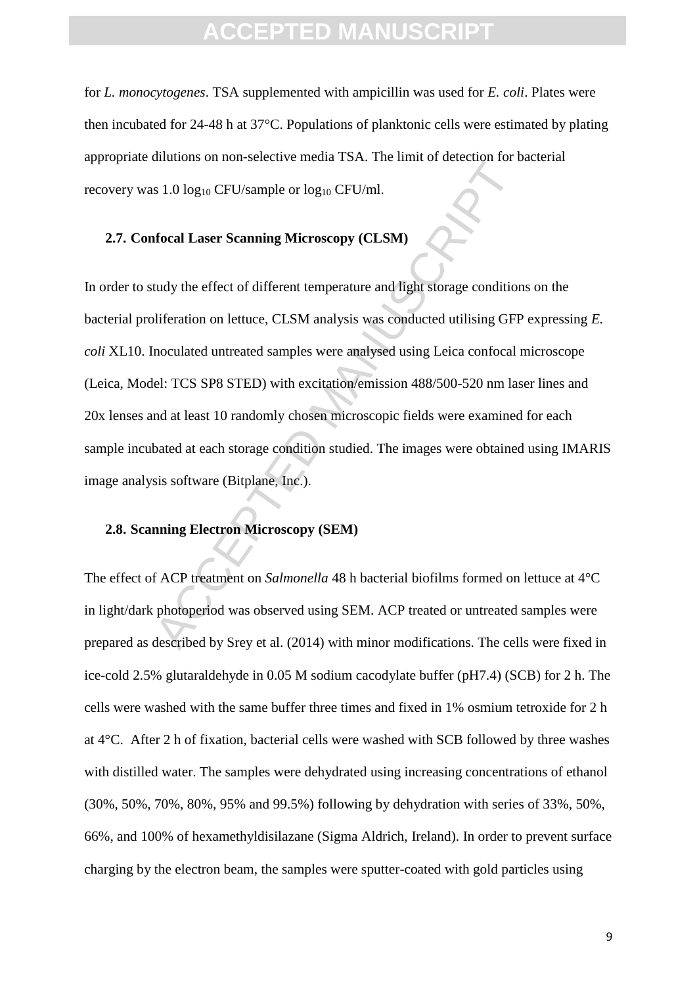### FPTED MANU

for *L. monocytogenes*. TSA supplemented with ampicillin was used for *E. coli*. Plates were then incubated for 24-48 h at 37°C. Populations of planktonic cells were estimated by plating appropriate dilutions on non-selective media TSA. The limit of detection for bacterial recovery was  $1.0 \log_{10} CFU/sample$  or  $log_{10} CFU/ml$ .

#### **2.7. Confocal Laser Scanning Microscopy (CLSM)**

 $\text{A1.0 log}_{10}$  CFU/sample or  $\log_{10}$  CFU/ml.<br> **ACCE 11.4** The limit of decoded in the set of the set of the set of the set of different temperature and light storage condition<br>
that the effect of different temperature an In order to study the effect of different temperature and light storage conditions on the bacterial proliferation on lettuce, CLSM analysis was conducted utilising GFP expressing *E. coli* XL10. Inoculated untreated samples were analysed using Leica confocal microscope (Leica, Model: TCS SP8 STED) with excitation/emission 488/500-520 nm laser lines and 20x lenses and at least 10 randomly chosen microscopic fields were examined for each sample incubated at each storage condition studied. The images were obtained using IMARIS image analysis software (Bitplane, Inc.).

#### **2.8. Scanning Electron Microscopy (SEM)**

The effect of ACP treatment on *Salmonella* 48 h bacterial biofilms formed on lettuce at 4°C in light/dark photoperiod was observed using SEM. ACP treated or untreated samples were prepared as described by Srey et al. (2014) with minor modifications. The cells were fixed in ice-cold 2.5% glutaraldehyde in 0.05 M sodium cacodylate buffer (pH7.4) (SCB) for 2 h. The cells were washed with the same buffer three times and fixed in 1% osmium tetroxide for 2 h at 4°C. After 2 h of fixation, bacterial cells were washed with SCB followed by three washes with distilled water. The samples were dehydrated using increasing concentrations of ethanol (30%, 50%, 70%, 80%, 95% and 99.5%) following by dehydration with series of 33%, 50%, 66%, and 100% of hexamethyldisilazane (Sigma Aldrich, Ireland). In order to prevent surface charging by the electron beam, the samples were sputter-coated with gold particles using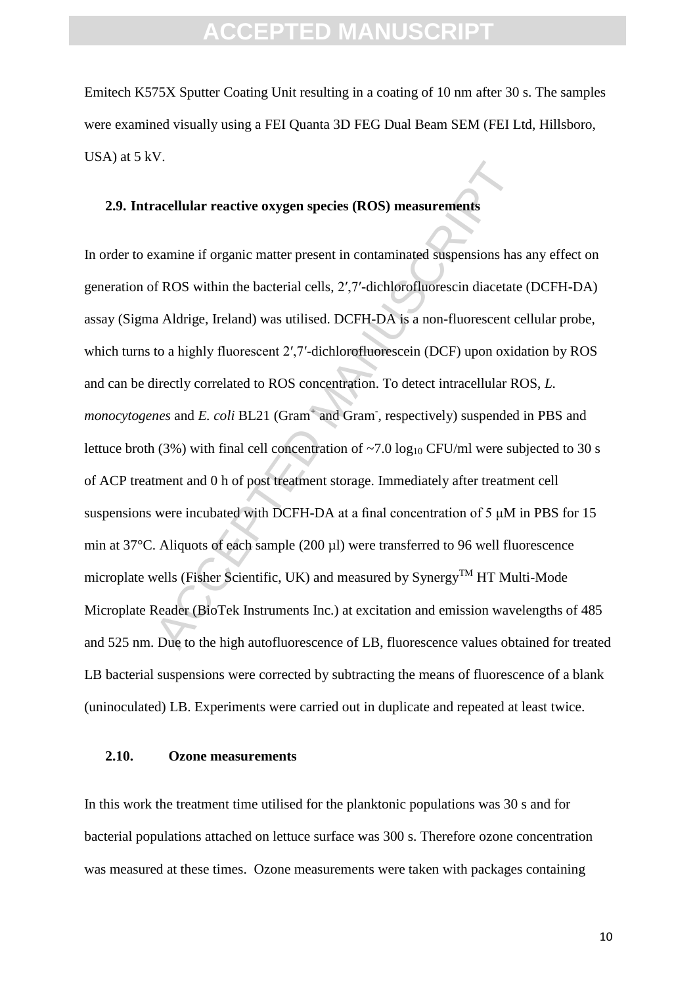Emitech K575X Sputter Coating Unit resulting in a coating of 10 nm after 30 s. The samples were examined visually using a FEI Quanta 3D FEG Dual Beam SEM (FEI Ltd, Hillsboro, USA) at 5 kV.

#### **2.9. Intracellular reactive oxygen species (ROS) measurements**

Finally are reactive oxygen species (ROS) measurements<br>xamine if organic matter present in contaminated suspensions has<br>f ROS within the bacterial cells, 2',7'-dichlorofluorescin diacetate<br>a Aldrige, Ireland) was utilised In order to examine if organic matter present in contaminated suspensions has any effect on generation of ROS within the bacterial cells, 2′,7′-dichlorofluorescin diacetate (DCFH-DA) assay (Sigma Aldrige, Ireland) was utilised. DCFH-DA is a non-fluorescent cellular probe, which turns to a highly fluorescent 2',7'-dichlorofluorescein (DCF) upon oxidation by ROS and can be directly correlated to ROS concentration. To detect intracellular ROS, *L. monocytogenes* and *E. coli* BL21 (Gram<sup>+</sup> and Gram<sup>-</sup>, respectively) suspended in PBS and lettuce broth (3%) with final cell concentration of  $\sim$ 7.0 log<sub>10</sub> CFU/ml were subjected to 30 s of ACP treatment and 0 h of post treatment storage. Immediately after treatment cell suspensions were incubated with DCFH-DA at a final concentration of 5 μM in PBS for 15 min at 37°C. Aliquots of each sample (200 ul) were transferred to 96 well fluorescence microplate wells (Fisher Scientific, UK) and measured by  $Symery^{TM}$  HT Multi-Mode Microplate Reader (BioTek Instruments Inc.) at excitation and emission wavelengths of 485 and 525 nm. Due to the high autofluorescence of LB, fluorescence values obtained for treated LB bacterial suspensions were corrected by subtracting the means of fluorescence of a blank (uninoculated) LB. Experiments were carried out in duplicate and repeated at least twice.

#### **2.10. Ozone measurements**

In this work the treatment time utilised for the planktonic populations was 30 s and for bacterial populations attached on lettuce surface was 300 s. Therefore ozone concentration was measured at these times. Ozone measurements were taken with packages containing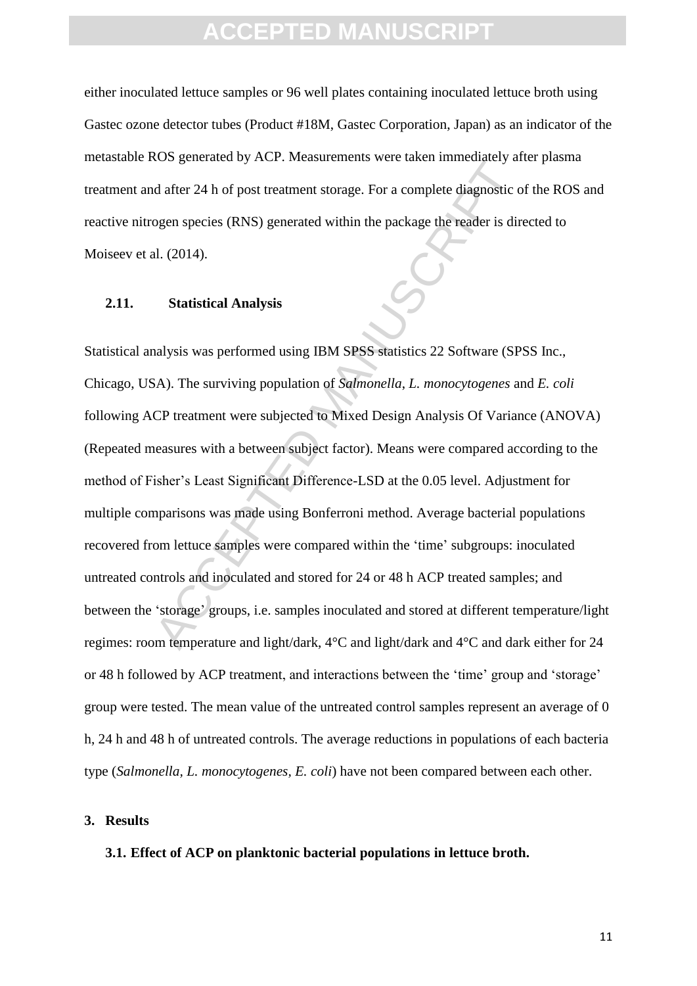either inoculated lettuce samples or 96 well plates containing inoculated lettuce broth using Gastec ozone detector tubes (Product #18M, Gastec Corporation, Japan) as an indicator of the metastable ROS generated by ACP. Measurements were taken immediately after plasma treatment and after 24 h of post treatment storage. For a complete diagnostic of the ROS and reactive nitrogen species (RNS) generated within the package the reader is directed to Moiseev et al. (2014).

#### **2.11. Statistical Analysis**

out dater 24 h of post treatment storage. For a complete diagnostic cogen species (RNS) generated within the package the reader is directed open species (RNS) generated within the package the reader is directed in the stat Statistical analysis was performed using IBM SPSS statistics 22 Software (SPSS Inc., Chicago, USA). The surviving population of *Salmonella*, *L. monocytogenes* and *E. coli* following ACP treatment were subjected to Mixed Design Analysis Of Variance (ANOVA) (Repeated measures with a between subject factor). Means were compared according to the method of Fisher's Least Significant Difference-LSD at the 0.05 level. Adjustment for multiple comparisons was made using Bonferroni method. Average bacterial populations recovered from lettuce samples were compared within the 'time' subgroups: inoculated untreated controls and inoculated and stored for 24 or 48 h ACP treated samples; and between the 'storage' groups, i.e. samples inoculated and stored at different temperature/light regimes: room temperature and light/dark, 4°C and light/dark and 4°C and dark either for 24 or 48 h followed by ACP treatment, and interactions between the 'time' group and 'storage' group were tested. The mean value of the untreated control samples represent an average of 0 h, 24 h and 48 h of untreated controls. The average reductions in populations of each bacteria type (*Salmonella, L. monocytogenes, E. coli*) have not been compared between each other.

#### **3. Results**

**3.1. Effect of ACP on planktonic bacterial populations in lettuce broth.**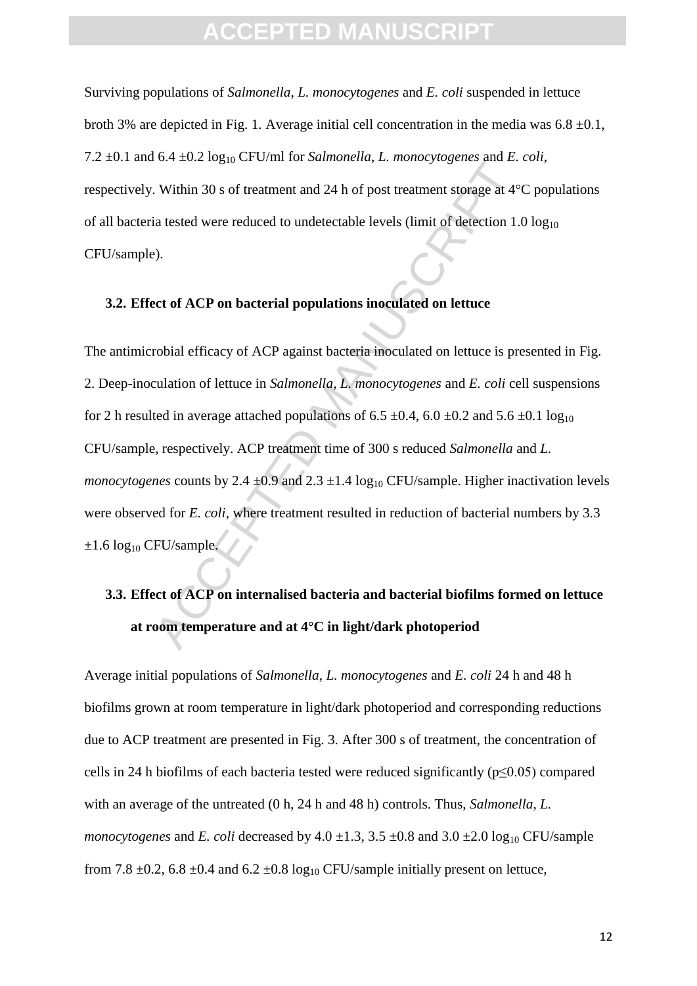Surviving populations of *Salmonella*, *L. monocytogenes* and *E. coli* suspended in lettuce broth 3% are depicted in Fig. 1. Average initial cell concentration in the media was  $6.8 \pm 0.1$ , 7.2  $\pm$ 0.1 and 6.4  $\pm$ 0.2 log<sub>10</sub> CFU/ml for *Salmonella*, *L. monocytogenes* and *E. coli*, respectively. Within 30 s of treatment and 24 h of post treatment storage at 4°C populations of all bacteria tested were reduced to undetectable levels (limit of detection  $1.0 \log_{10}$ CFU/sample).

#### **3.2. Effect of ACP on bacterial populations inoculated on lettuce**

3. Within 30 s of treatment and 24 h of post treatment storage at 4<sup>2</sup> is. Within 30 s of treatment and 24 h of post treatment storage at 4<sup>2</sup> is tested were reduced to undetectable levels (limit of detection 1.0).<br>
2).<br> The antimicrobial efficacy of ACP against bacteria inoculated on lettuce is presented in Fig. 2. Deep-inoculation of lettuce in *Salmonella*, *L. monocytogenes* and *E. coli* cell suspensions for 2 h resulted in average attached populations of 6.5  $\pm$ 0.4, 6.0  $\pm$ 0.2 and 5.6  $\pm$ 0.1 log<sub>10</sub> CFU/sample, respectively. ACP treatment time of 300 s reduced *Salmonella* and *L. monocytogenes* counts by 2.4  $\pm$ 0.9 and 2.3  $\pm$ 1.4 log<sub>10</sub> CFU/sample. Higher inactivation levels were observed for *E. coli*, where treatment resulted in reduction of bacterial numbers by 3.3  $\pm 1.6$  log<sub>10</sub> CFU/sample.

## **3.3. Effect of ACP on internalised bacteria and bacterial biofilms formed on lettuce at room temperature and at 4°C in light/dark photoperiod**

Average initial populations of *Salmonella*, *L. monocytogenes* and *E. coli* 24 h and 48 h biofilms grown at room temperature in light/dark photoperiod and corresponding reductions due to ACP treatment are presented in Fig. 3. After 300 s of treatment, the concentration of cells in 24 h biofilms of each bacteria tested were reduced significantly ( $p \le 0.05$ ) compared with an average of the untreated (0 h, 24 h and 48 h) controls. Thus, *Salmonella*, *L. monocytogenes* and *E. coli* decreased by  $4.0 \pm 1.3$ ,  $3.5 \pm 0.8$  and  $3.0 \pm 2.0$  log<sub>10</sub> CFU/sample from 7.8  $\pm$ 0.2, 6.8  $\pm$ 0.4 and 6.2  $\pm$ 0.8 log<sub>10</sub> CFU/sample initially present on lettuce,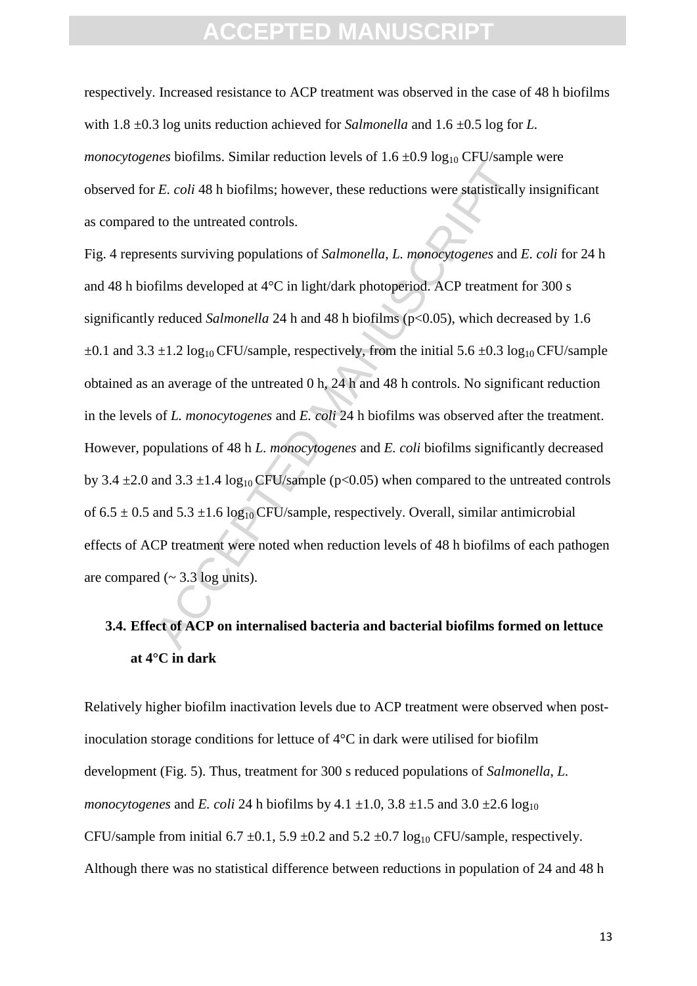respectively. Increased resistance to ACP treatment was observed in the case of 48 h biofilms with  $1.8 \pm 0.3$  log units reduction achieved for *Salmonella* and  $1.6 \pm 0.5$  log for *L*. *monocytogenes* biofilms. Similar reduction levels of  $1.6 \pm 0.9 \log_{10} CFU$ /sample were observed for *E. coli* 48 h biofilms; however, these reductions were statistically insignificant as compared to the untreated controls.

*E. coli 48* h biofilms; however, these reductions were statistically<br>to the untreated controls.<br>tents surviving populations of *Salmonella*, *L. monocytogenes* and *i*<br>films developed at 4°C in light/dark photoperiod. AC Fig. 4 represents surviving populations of *Salmonella*, *L. monocytogenes* and *E. coli* for 24 h and 48 h biofilms developed at 4°C in light/dark photoperiod. ACP treatment for 300 s significantly reduced *Salmonella* 24 h and 48 h biofilms ( $p<0.05$ ), which decreased by 1.6  $\pm 0.1$  and 3.3  $\pm 1.2 \log_{10} CFU$ /sample, respectively, from the initial 5.6  $\pm 0.3 \log_{10} CFU$ /sample obtained as an average of the untreated 0 h, 24 h and 48 h controls. No significant reduction in the levels of *L. monocytogenes* and *E. coli* 24 h biofilms was observed after the treatment. However, populations of 48 h *L. monocytogenes* and *E. coli* biofilms significantly decreased by 3.4  $\pm$ 2.0 and 3.3  $\pm$ 1.4 log<sub>10</sub> CFU/sample (p<0.05) when compared to the untreated controls of  $6.5 \pm 0.5$  and  $5.3 \pm 1.6$  log<sub>10</sub> CFU/sample, respectively. Overall, similar antimicrobial effects of ACP treatment were noted when reduction levels of 48 h biofilms of each pathogen are compared  $\left(\sim 3.3 \log \frac{\text{units}}{\text{...}}\right)$ .

### **3.4. Effect of ACP on internalised bacteria and bacterial biofilms formed on lettuce at 4°C in dark**

Relatively higher biofilm inactivation levels due to ACP treatment were observed when postinoculation storage conditions for lettuce of 4°C in dark were utilised for biofilm development (Fig. 5). Thus, treatment for 300 s reduced populations of *Salmonella*, *L. monocytogenes* and *E. coli* 24 h biofilms by 4.1  $\pm$ 1.0, 3.8  $\pm$ 1.5 and 3.0  $\pm$ 2.6 log<sub>10</sub> CFU/sample from initial 6.7  $\pm$ 0.1, 5.9  $\pm$ 0.2 and 5.2  $\pm$ 0.7 log<sub>10</sub> CFU/sample, respectively. Although there was no statistical difference between reductions in population of 24 and 48 h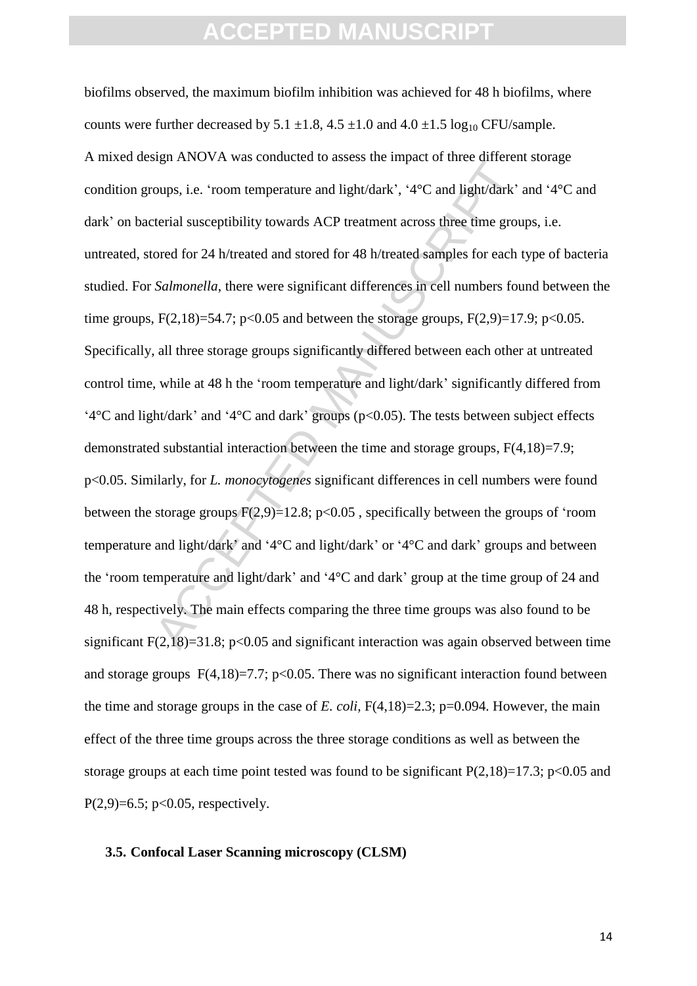oups, i.e. 'room temperature and light/dark', '4°C and light/dark'<br>terial susceptibility towards ACP treatment across three time ground for 48 h/treated and stored for 48 h/treated samples for each l*Salmonella*, there we biofilms observed, the maximum biofilm inhibition was achieved for 48 h biofilms, where counts were further decreased by  $5.1 \pm 1.8$ ,  $4.5 \pm 1.0$  and  $4.0 \pm 1.5$  log<sub>10</sub> CFU/sample. A mixed design ANOVA was conducted to assess the impact of three different storage condition groups, i.e. 'room temperature and light/dark', '4°C and light/dark' and '4°C and dark' on bacterial susceptibility towards ACP treatment across three time groups, i.e. untreated, stored for 24 h/treated and stored for 48 h/treated samples for each type of bacteria studied. For *Salmonella*, there were significant differences in cell numbers found between the time groups,  $F(2,18)=54.7$ ;  $p<0.05$  and between the storage groups,  $F(2,9)=17.9$ ;  $p<0.05$ . Specifically, all three storage groups significantly differed between each other at untreated control time, while at 48 h the 'room temperature and light/dark' significantly differed from '4°C and light/dark' and '4°C and dark' groups (p<0.05). The tests between subject effects demonstrated substantial interaction between the time and storage groups, F(4,18)=7.9; p<0.05. Similarly, for *L. monocytogenes* significant differences in cell numbers were found between the storage groups  $F(2,9)=12.8$ ; p<0.05, specifically between the groups of 'room temperature and light/dark' and '4°C and light/dark' or '4°C and dark' groups and between the 'room temperature and light/dark' and '4°C and dark' group at the time group of 24 and 48 h, respectively. The main effects comparing the three time groups was also found to be significant  $F(2,18)=31.8$ ; p<0.05 and significant interaction was again observed between time and storage groups  $F(4,18)=7.7$ ; p<0.05. There was no significant interaction found between the time and storage groups in the case of *E. coli*,  $F(4,18)=2.3$ ;  $p=0.094$ . However, the main effect of the three time groups across the three storage conditions as well as between the storage groups at each time point tested was found to be significant  $P(2,18)=17.3$ ; p<0.05 and  $P(2,9)=6.5$ ; p<0.05, respectively.

#### **3.5. Confocal Laser Scanning microscopy (CLSM)**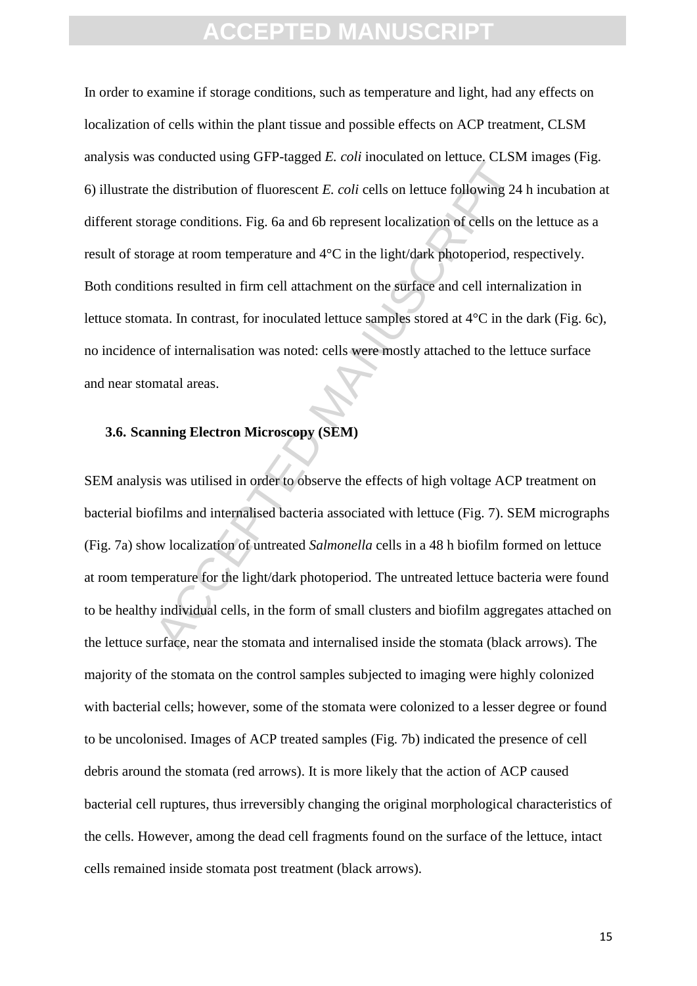bendied using of  $\Gamma$  tagged  $E$ , con modellated of feddets, c.55*H*<br>the distribution of fluorescent  $E$ , *coli* cells on lettuce following 24<br>rage conditions. Fig. 6a and 6b represent localization of cells on th<br>arge at In order to examine if storage conditions, such as temperature and light, had any effects on localization of cells within the plant tissue and possible effects on ACP treatment, CLSM analysis was conducted using GFP-tagged *E. coli* inoculated on lettuce. CLSM images (Fig. 6) illustrate the distribution of fluorescent *E. coli* cells on lettuce following 24 h incubation at different storage conditions. Fig. 6a and 6b represent localization of cells on the lettuce as a result of storage at room temperature and 4°C in the light/dark photoperiod, respectively. Both conditions resulted in firm cell attachment on the surface and cell internalization in lettuce stomata. In contrast, for inoculated lettuce samples stored at 4°C in the dark (Fig. 6c), no incidence of internalisation was noted: cells were mostly attached to the lettuce surface and near stomatal areas.

#### **3.6. Scanning Electron Microscopy (SEM)**

SEM analysis was utilised in order to observe the effects of high voltage ACP treatment on bacterial biofilms and internalised bacteria associated with lettuce (Fig. 7). SEM micrographs (Fig. 7a) show localization of untreated *Salmonella* cells in a 48 h biofilm formed on lettuce at room temperature for the light/dark photoperiod. The untreated lettuce bacteria were found to be healthy individual cells, in the form of small clusters and biofilm aggregates attached on the lettuce surface, near the stomata and internalised inside the stomata (black arrows). The majority of the stomata on the control samples subjected to imaging were highly colonized with bacterial cells; however, some of the stomata were colonized to a lesser degree or found to be uncolonised. Images of ACP treated samples (Fig. 7b) indicated the presence of cell debris around the stomata (red arrows). It is more likely that the action of ACP caused bacterial cell ruptures, thus irreversibly changing the original morphological characteristics of the cells. However, among the dead cell fragments found on the surface of the lettuce, intact cells remained inside stomata post treatment (black arrows).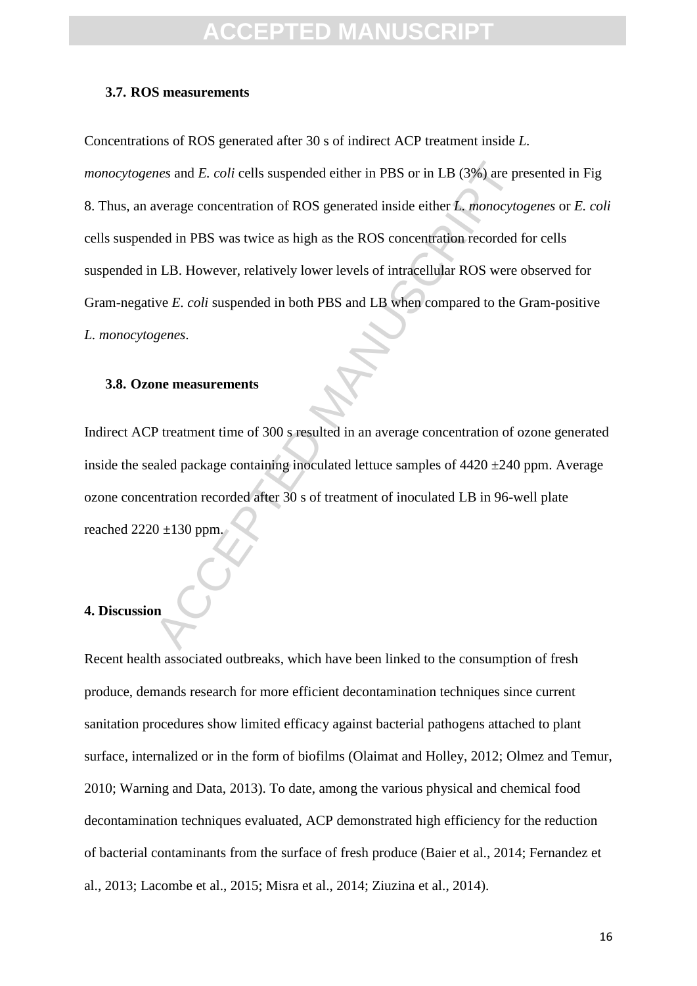#### **3.7. ROS measurements**

Concentrations of ROS generated after 30 s of indirect ACP treatment inside *L.* 

*nes* and *E. coli* cells suspended either in PBS or in LB (3%) are proverage concentration of ROS generated inside either *L. monocyto* ded in PBS was twice as high as the ROS concentration recorded in LB. However, relat *monocytogenes* and *E. coli* cells suspended either in PBS or in LB (3%) are presented in Fig. 8. Thus, an average concentration of ROS generated inside either *L. monocytogenes* or *E. coli* cells suspended in PBS was twice as high as the ROS concentration recorded for cells suspended in LB. However, relatively lower levels of intracellular ROS were observed for Gram-negative *E. coli* suspended in both PBS and LB when compared to the Gram-positive *L. monocytogenes*.

#### **3.8. Ozone measurements**

Indirect ACP treatment time of 300 s resulted in an average concentration of ozone generated inside the sealed package containing inoculated lettuce samples of  $4420 \pm 240$  ppm. Average ozone concentration recorded after 30 s of treatment of inoculated LB in 96-well plate reached  $2220 \pm 130$  ppm.

#### **4. Discussion**

Recent health associated outbreaks, which have been linked to the consumption of fresh produce, demands research for more efficient decontamination techniques since current sanitation procedures show limited efficacy against bacterial pathogens attached to plant surface, internalized or in the form of biofilms (Olaimat and Holley, 2012; Olmez and Temur, 2010; Warning and Data, 2013). To date, among the various physical and chemical food decontamination techniques evaluated, ACP demonstrated high efficiency for the reduction of bacterial contaminants from the surface of fresh produce (Baier et al., 2014; Fernandez et al., 2013; Lacombe et al., 2015; Misra et al., 2014; Ziuzina et al., 2014).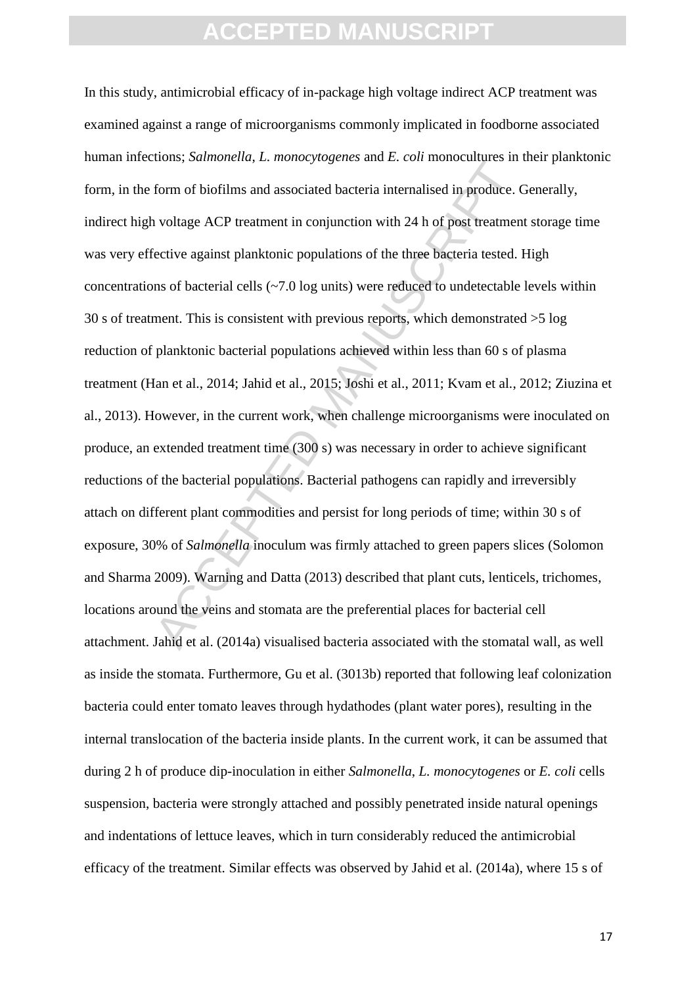From of biofilms and associated bacteria internalised in produce. In<br>form of biofilms and associated bacteria internalised in produce. In<br>voltage ACP treatment in conjunction with 24 h of post treatmen<br>fective against plan In this study, antimicrobial efficacy of in-package high voltage indirect ACP treatment was examined against a range of microorganisms commonly implicated in foodborne associated human infections; *Salmonella*, *L. monocytogenes* and *E. coli* monocultures in their planktonic form, in the form of biofilms and associated bacteria internalised in produce. Generally, indirect high voltage ACP treatment in conjunction with 24 h of post treatment storage time was very effective against planktonic populations of the three bacteria tested. High concentrations of bacterial cells (~7.0 log units) were reduced to undetectable levels within 30 s of treatment. This is consistent with previous reports, which demonstrated >5 log reduction of planktonic bacterial populations achieved within less than 60 s of plasma treatment (Han et al., 2014; Jahid et al., 2015; Joshi et al., 2011; Kvam et al., 2012; Ziuzina et al., 2013). However, in the current work, when challenge microorganisms were inoculated on produce, an extended treatment time (300 s) was necessary in order to achieve significant reductions of the bacterial populations. Bacterial pathogens can rapidly and irreversibly attach on different plant commodities and persist for long periods of time; within 30 s of exposure, 30% of *Salmonella* inoculum was firmly attached to green papers slices (Solomon and Sharma 2009). Warning and Datta (2013) described that plant cuts, lenticels, trichomes, locations around the veins and stomata are the preferential places for bacterial cell attachment. Jahid et al. (2014a) visualised bacteria associated with the stomatal wall, as well as inside the stomata. Furthermore, Gu et al. (3013b) reported that following leaf colonization bacteria could enter tomato leaves through hydathodes (plant water pores), resulting in the internal translocation of the bacteria inside plants. In the current work, it can be assumed that during 2 h of produce dip-inoculation in either *Salmonella*, *L. monocytogenes* or *E. coli* cells suspension, bacteria were strongly attached and possibly penetrated inside natural openings and indentations of lettuce leaves, which in turn considerably reduced the antimicrobial efficacy of the treatment. Similar effects was observed by Jahid et al. (2014a), where 15 s of

17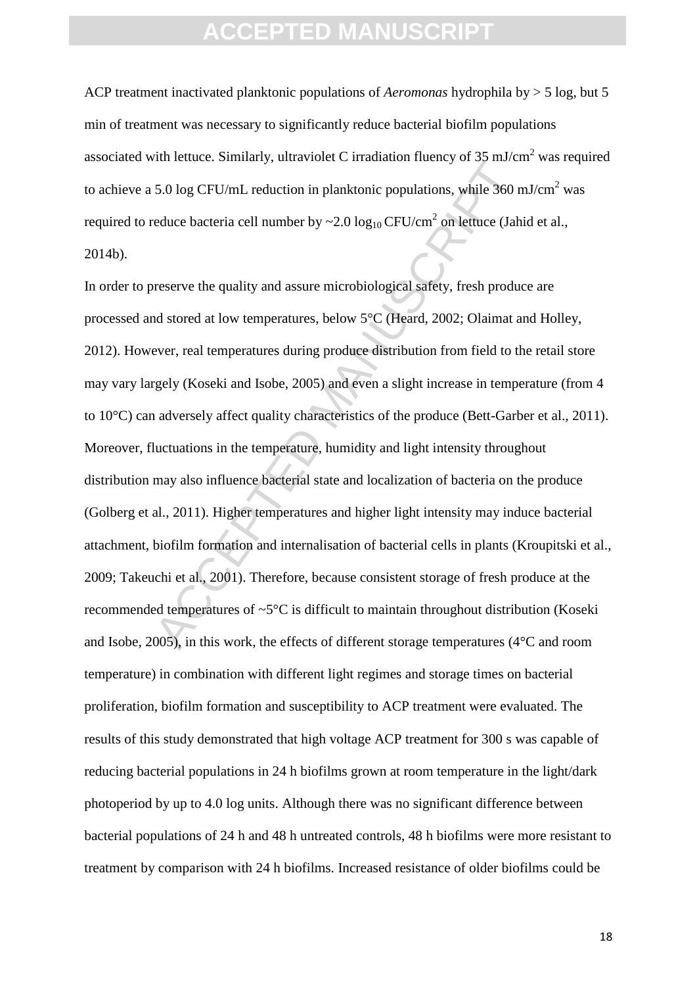ACP treatment inactivated planktonic populations of *Aeromonas* hydrophila by > 5 log, but 5 min of treatment was necessary to significantly reduce bacterial biofilm populations associated with lettuce. Similarly, ultraviolet C irradiation fluency of  $35 \text{ mJ/cm}^2$  was required to achieve a 5.0 log CFU/mL reduction in planktonic populations, while 360 mJ/cm<sup>2</sup> was required to reduce bacteria cell number by ~2.0  $\log_{10}$  CFU/cm<sup>2</sup> on lettuce (Jahid et al., 2014b).

An ietate. Similarly, unavfacted muslimited parally of 35 more.<br>
5.0 log CFU/mL reduction in planktonic populations, while 360 n<br>
reduce bacteria cell number by ~2.0 log<sub>10</sub> CFU/cm<sup>2</sup> on lettuce (Jah<br>
reserve the quality In order to preserve the quality and assure microbiological safety, fresh produce are processed and stored at low temperatures, below 5°C (Heard, 2002; Olaimat and Holley, 2012). However, real temperatures during produce distribution from field to the retail store may vary largely (Koseki and Isobe, 2005) and even a slight increase in temperature (from 4 to 10°C) can adversely affect quality characteristics of the produce (Bett-Garber et al., 2011). Moreover, fluctuations in the temperature, humidity and light intensity throughout distribution may also influence bacterial state and localization of bacteria on the produce (Golberg et al., 2011). Higher temperatures and higher light intensity may induce bacterial attachment, biofilm formation and internalisation of bacterial cells in plants (Kroupitski et al., 2009; Takeuchi et al., 2001). Therefore, because consistent storage of fresh produce at the recommended temperatures of ~5°C is difficult to maintain throughout distribution (Koseki and Isobe, 2005), in this work, the effects of different storage temperatures (4°C and room temperature) in combination with different light regimes and storage times on bacterial proliferation, biofilm formation and susceptibility to ACP treatment were evaluated. The results of this study demonstrated that high voltage ACP treatment for 300 s was capable of reducing bacterial populations in 24 h biofilms grown at room temperature in the light/dark photoperiod by up to 4.0 log units. Although there was no significant difference between bacterial populations of 24 h and 48 h untreated controls, 48 h biofilms were more resistant to treatment by comparison with 24 h biofilms. Increased resistance of older biofilms could be

18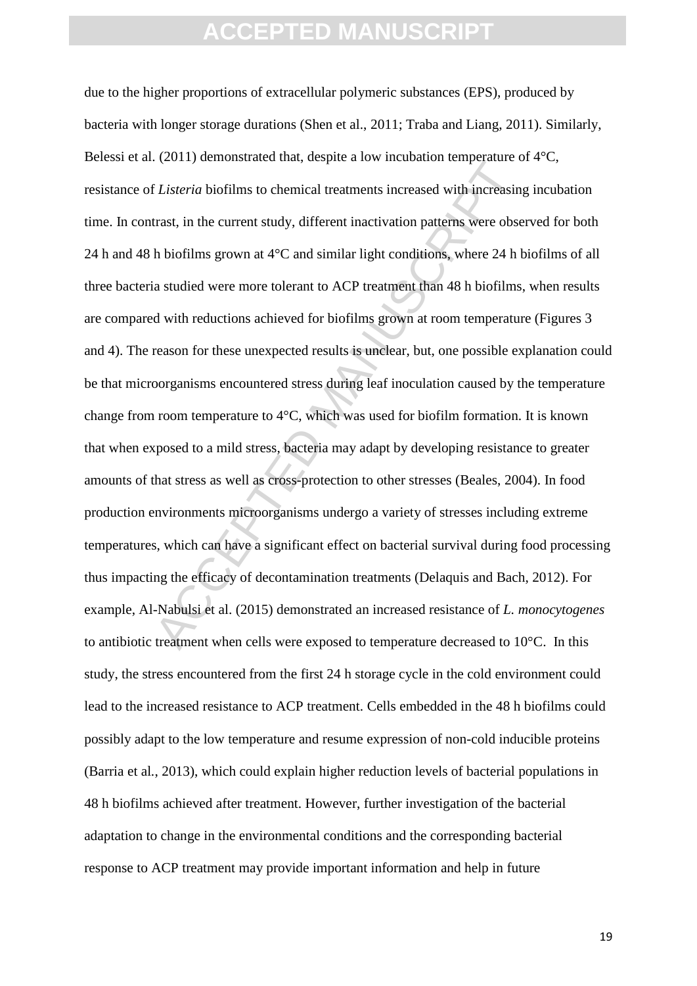CLAST CONTIFICULATE UNITS (Lasteria biofilms to chemical treatments increased with increasin<br>trast, in the current study, different inactivation patterns were obses<br>h biofilms grown at 4°C and similar light conditions, wh due to the higher proportions of extracellular polymeric substances (EPS), produced by bacteria with longer storage durations (Shen et al., 2011; Traba and Liang, 2011). Similarly, Belessi et al. (2011) demonstrated that, despite a low incubation temperature of  $4^{\circ}C$ , resistance of *Listeria* biofilms to chemical treatments increased with increasing incubation time. In contrast, in the current study, different inactivation patterns were observed for both 24 h and 48 h biofilms grown at 4°C and similar light conditions, where 24 h biofilms of all three bacteria studied were more tolerant to ACP treatment than 48 h biofilms, when results are compared with reductions achieved for biofilms grown at room temperature (Figures 3 and 4). The reason for these unexpected results is unclear, but, one possible explanation could be that microorganisms encountered stress during leaf inoculation caused by the temperature change from room temperature to 4°C, which was used for biofilm formation. It is known that when exposed to a mild stress, bacteria may adapt by developing resistance to greater amounts of that stress as well as cross-protection to other stresses (Beales, 2004). In food production environments microorganisms undergo a variety of stresses including extreme temperatures, which can have a significant effect on bacterial survival during food processing thus impacting the efficacy of decontamination treatments (Delaquis and Bach, 2012). For example, Al-Nabulsi et al. (2015) demonstrated an increased resistance of *L. monocytogenes* to antibiotic treatment when cells were exposed to temperature decreased to 10°C. In this study, the stress encountered from the first 24 h storage cycle in the cold environment could lead to the increased resistance to ACP treatment. Cells embedded in the 48 h biofilms could possibly adapt to the low temperature and resume expression of non-cold inducible proteins (Barria et al*.*, 2013), which could explain higher reduction levels of bacterial populations in 48 h biofilms achieved after treatment. However, further investigation of the bacterial adaptation to change in the environmental conditions and the corresponding bacterial response to ACP treatment may provide important information and help in future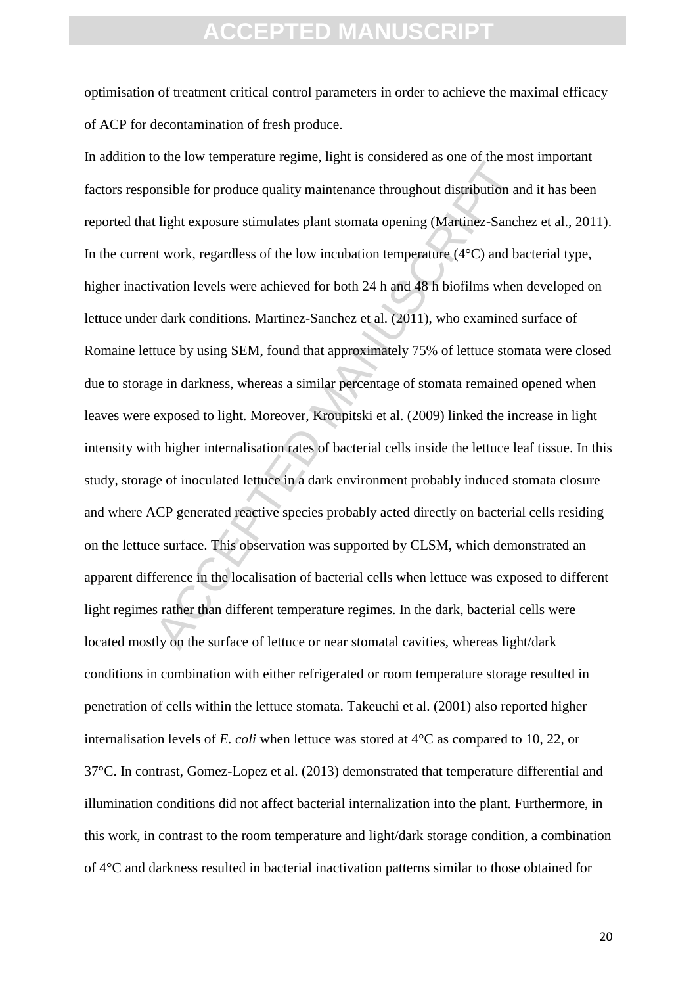optimisation of treatment critical control parameters in order to achieve the maximal efficacy of ACP for decontamination of fresh produce.

or the tech verified than the method of the state of the state of the state of the state of the state in the the<br>state is the exposure stimulates plant stomata opening (Martinez-Sancht work, regardless of the low incubatio In addition to the low temperature regime, light is considered as one of the most important factors responsible for produce quality maintenance throughout distribution and it has been reported that light exposure stimulates plant stomata opening (Martinez-Sanchez et al., 2011). In the current work, regardless of the low incubation temperature  $(4^{\circ}C)$  and bacterial type, higher inactivation levels were achieved for both 24 h and 48 h biofilms when developed on lettuce under dark conditions. Martinez-Sanchez et al. (2011), who examined surface of Romaine lettuce by using SEM, found that approximately 75% of lettuce stomata were closed due to storage in darkness, whereas a similar percentage of stomata remained opened when leaves were exposed to light. Moreover, Kroupitski et al. (2009) linked the increase in light intensity with higher internalisation rates of bacterial cells inside the lettuce leaf tissue. In this study, storage of inoculated lettuce in a dark environment probably induced stomata closure and where ACP generated reactive species probably acted directly on bacterial cells residing on the lettuce surface. This observation was supported by CLSM, which demonstrated an apparent difference in the localisation of bacterial cells when lettuce was exposed to different light regimes rather than different temperature regimes. In the dark, bacterial cells were located mostly on the surface of lettuce or near stomatal cavities, whereas light/dark conditions in combination with either refrigerated or room temperature storage resulted in penetration of cells within the lettuce stomata. Takeuchi et al. (2001) also reported higher internalisation levels of *E. coli* when lettuce was stored at 4°C as compared to 10, 22, or 37°C. In contrast, Gomez-Lopez et al. (2013) demonstrated that temperature differential and illumination conditions did not affect bacterial internalization into the plant. Furthermore, in this work, in contrast to the room temperature and light/dark storage condition, a combination of 4°C and darkness resulted in bacterial inactivation patterns similar to those obtained for

20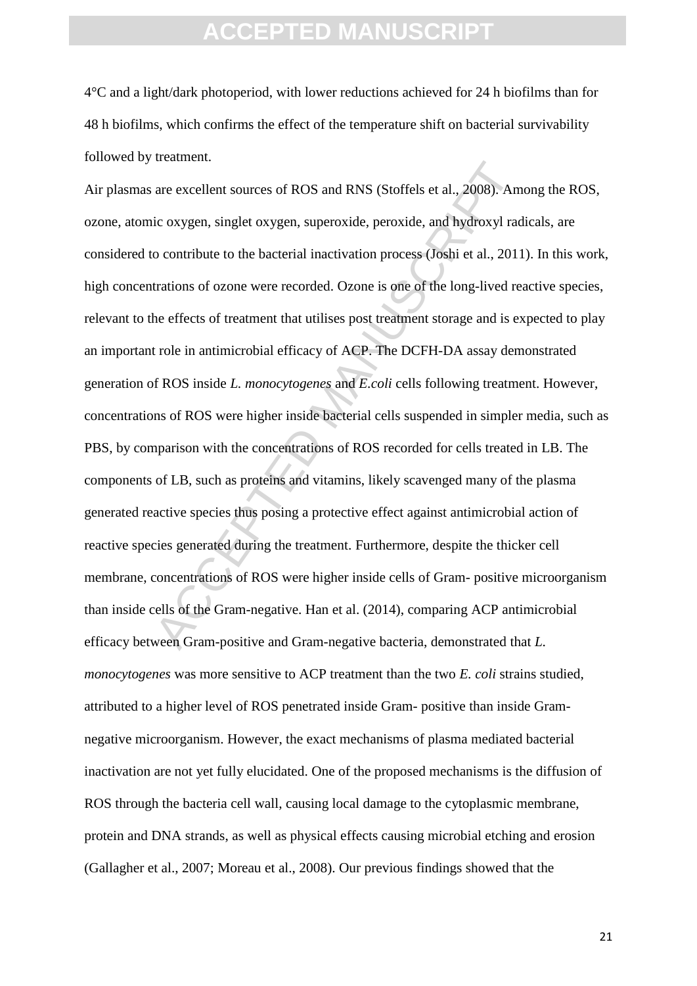4°C and a light/dark photoperiod, with lower reductions achieved for 24 h biofilms than for 48 h biofilms, which confirms the effect of the temperature shift on bacterial survivability followed by treatment.

are excellent sources of ROS and RNS (Stoffels et al., 2008). Am<br>ic oxygen, singlet oxygen, superoxide, peroxide, and hydroxyl rad<br>o contribute to the bacterial inactivation process (Joshi et al., 2011<br>trations of ozone we Air plasmas are excellent sources of ROS and RNS (Stoffels et al., 2008). Among the ROS, ozone, atomic oxygen, singlet oxygen, superoxide, peroxide, and hydroxyl radicals, are considered to contribute to the bacterial inactivation process (Joshi et al., 2011). In this work, high concentrations of ozone were recorded. Ozone is one of the long-lived reactive species, relevant to the effects of treatment that utilises post treatment storage and is expected to play an important role in antimicrobial efficacy of ACP. The DCFH-DA assay demonstrated generation of ROS inside *L. monocytogenes* and *E.coli* cells following treatment. However, concentrations of ROS were higher inside bacterial cells suspended in simpler media, such as PBS, by comparison with the concentrations of ROS recorded for cells treated in LB. The components of LB, such as proteins and vitamins, likely scavenged many of the plasma generated reactive species thus posing a protective effect against antimicrobial action of reactive species generated during the treatment. Furthermore, despite the thicker cell membrane, concentrations of ROS were higher inside cells of Gram- positive microorganism than inside cells of the Gram-negative. Han et al. (2014), comparing ACP antimicrobial efficacy between Gram-positive and Gram-negative bacteria, demonstrated that *L. monocytogenes* was more sensitive to ACP treatment than the two *E. coli* strains studied, attributed to a higher level of ROS penetrated inside Gram- positive than inside Gramnegative microorganism. However, the exact mechanisms of plasma mediated bacterial inactivation are not yet fully elucidated. One of the proposed mechanisms is the diffusion of ROS through the bacteria cell wall, causing local damage to the cytoplasmic membrane, protein and DNA strands, as well as physical effects causing microbial etching and erosion (Gallagher et al., 2007; Moreau et al., 2008). Our previous findings showed that the

21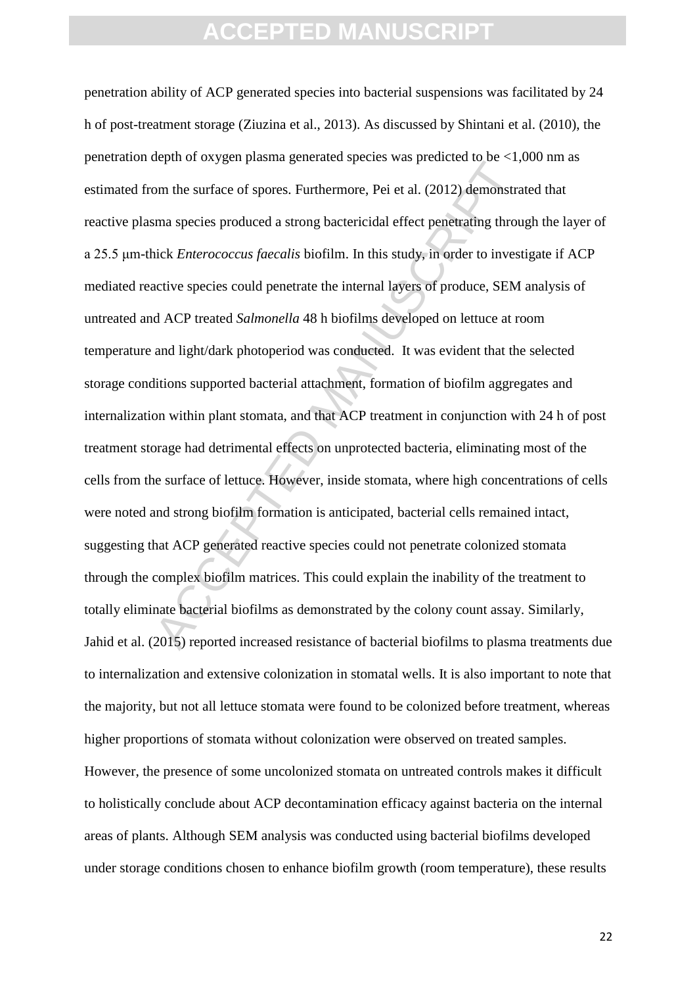for the surface of spores. Furthermore, Pei et al. (2012) demonstrates and species produced a strong bactericidal effect penetrating throutick *Enterococcus faecalis* biofilm. In this study, in order to invest active speci penetration ability of ACP generated species into bacterial suspensions was facilitated by 24 h of post-treatment storage (Ziuzina et al., 2013). As discussed by Shintani et al. (2010), the penetration depth of oxygen plasma generated species was predicted to be <1,000 nm as estimated from the surface of spores. Furthermore, Pei et al. (2012) demonstrated that reactive plasma species produced a strong bactericidal effect penetrating through the layer of a 25.5 μm-thick *Enterococcus faecalis* biofilm. In this study, in order to investigate if ACP mediated reactive species could penetrate the internal layers of produce, SEM analysis of untreated and ACP treated *Salmonella* 48 h biofilms developed on lettuce at room temperature and light/dark photoperiod was conducted. It was evident that the selected storage conditions supported bacterial attachment, formation of biofilm aggregates and internalization within plant stomata, and that ACP treatment in conjunction with 24 h of post treatment storage had detrimental effects on unprotected bacteria, eliminating most of the cells from the surface of lettuce. However, inside stomata, where high concentrations of cells were noted and strong biofilm formation is anticipated, bacterial cells remained intact, suggesting that ACP generated reactive species could not penetrate colonized stomata through the complex biofilm matrices. This could explain the inability of the treatment to totally eliminate bacterial biofilms as demonstrated by the colony count assay. Similarly, Jahid et al. (2015) reported increased resistance of bacterial biofilms to plasma treatments due to internalization and extensive colonization in stomatal wells. It is also important to note that the majority, but not all lettuce stomata were found to be colonized before treatment, whereas higher proportions of stomata without colonization were observed on treated samples. However, the presence of some uncolonized stomata on untreated controls makes it difficult to holistically conclude about ACP decontamination efficacy against bacteria on the internal areas of plants. Although SEM analysis was conducted using bacterial biofilms developed under storage conditions chosen to enhance biofilm growth (room temperature), these results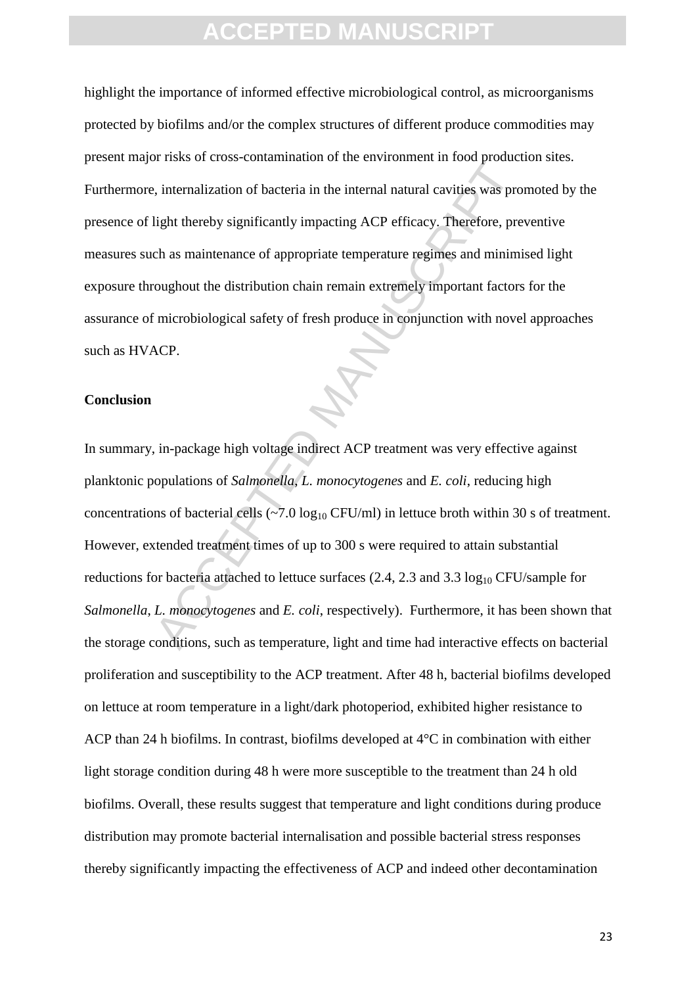highlight the importance of informed effective microbiological control, as microorganisms protected by biofilms and/or the complex structures of different produce commodities may present major risks of cross-contamination of the environment in food production sites. Furthermore, internalization of bacteria in the internal natural cavities was promoted by the presence of light thereby significantly impacting ACP efficacy. Therefore, preventive measures such as maintenance of appropriate temperature regimes and minimised light exposure throughout the distribution chain remain extremely important factors for the assurance of microbiological safety of fresh produce in conjunction with novel approaches such as HVACP.

#### **Conclusion**

Final variation of bacteria in the internal natural cavities was pro-<br>
light thereby significantly impacting ACP efficacy. Therefore, pre-<br>
light thereby significantly impacting ACP efficacy. Therefore, pre-<br>
ch as mainte In summary, in-package high voltage indirect ACP treatment was very effective against planktonic populations of *Salmonella*, *L. monocytogenes* and *E. coli*, reducing high concentrations of bacterial cells ( $\sim$ 7.0 log<sub>10</sub> CFU/ml) in lettuce broth within 30 s of treatment. However, extended treatment times of up to 300 s were required to attain substantial reductions for bacteria attached to lettuce surfaces  $(2.4, 2.3 \text{ and } 3.3 \log_{10} CFU/\text{sample}$  for *Salmonella*, *L. monocytogenes* and *E. coli*, respectively). Furthermore, it has been shown that the storage conditions, such as temperature, light and time had interactive effects on bacterial proliferation and susceptibility to the ACP treatment. After 48 h, bacterial biofilms developed on lettuce at room temperature in a light/dark photoperiod, exhibited higher resistance to ACP than 24 h biofilms. In contrast, biofilms developed at 4°C in combination with either light storage condition during 48 h were more susceptible to the treatment than 24 h old biofilms. Overall, these results suggest that temperature and light conditions during produce distribution may promote bacterial internalisation and possible bacterial stress responses thereby significantly impacting the effectiveness of ACP and indeed other decontamination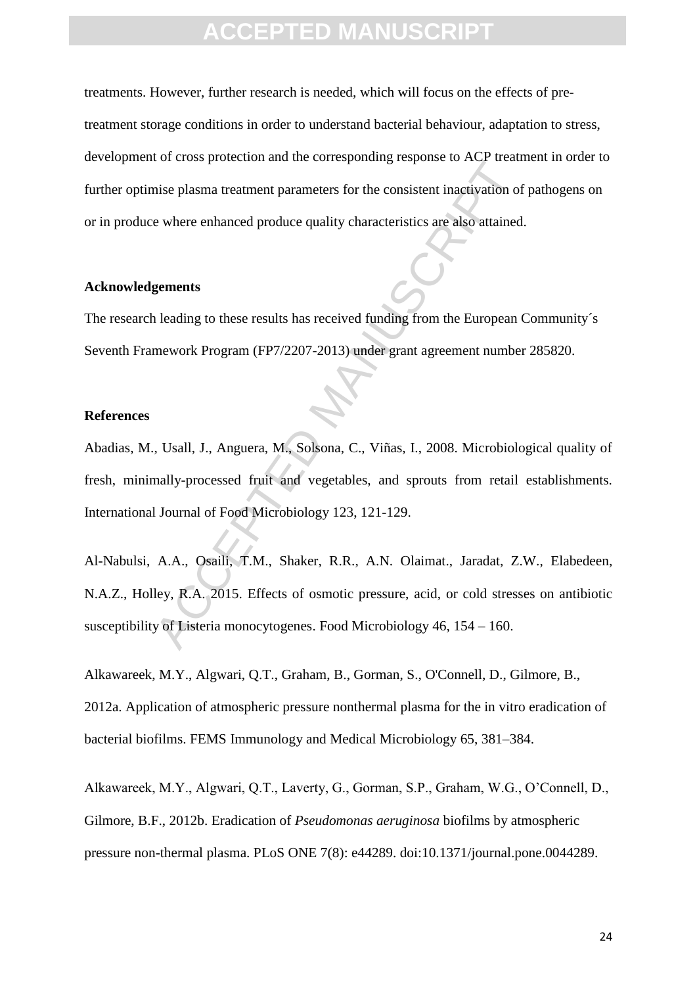treatments. However, further research is needed, which will focus on the effects of pretreatment storage conditions in order to understand bacterial behaviour, adaptation to stress, development of cross protection and the corresponding response to ACP treatment in order to further optimise plasma treatment parameters for the consistent inactivation of pathogens on or in produce where enhanced produce quality characteristics are also attained.

#### **Acknowledgements**

The research leading to these results has received funding from the European Community´s Seventh Framework Program (FP7/2207-2013) under grant agreement number 285820.

#### **References**

inise plasma treatment parameters for the consistent inactivation of<br>e where enhanced produce quality characteristics are also attained<br>**gements**<br>heading to these results has received funding from the European<br>mework Progr Abadias, M., Usall, J., Anguera, M., Solsona, C., Viñas, I., 2008. Microbiological quality of fresh, minimally-processed fruit and vegetables, and sprouts from retail establishments. International Journal of Food Microbiology 123, 121-129.

Al-Nabulsi, A.A., Osaili, T.M., Shaker, R.R., A.N. Olaimat., Jaradat, Z.W., Elabedeen, N.A.Z., Holley, R.A. 2015. Effects of osmotic pressure, acid, or cold stresses on antibiotic susceptibility of Listeria monocytogenes. Food Microbiology 46, 154 – 160.

Alkawareek, M.Y., Algwari, Q.T., Graham, B., Gorman, S., O'Connell, D., Gilmore, B., 2012a. Application of atmospheric pressure nonthermal plasma for the in vitro eradication of bacterial biofilms. FEMS Immunology and Medical Microbiology 65, 381–384.

Alkawareek, M.Y., Algwari, Q.T., Laverty, G., Gorman, S.P., Graham, W.G., O'Connell, D., Gilmore, B.F., 2012b. Eradication of *Pseudomonas aeruginosa* biofilms by atmospheric pressure non-thermal plasma. PLoS ONE 7(8): e44289. doi:10.1371/journal.pone.0044289.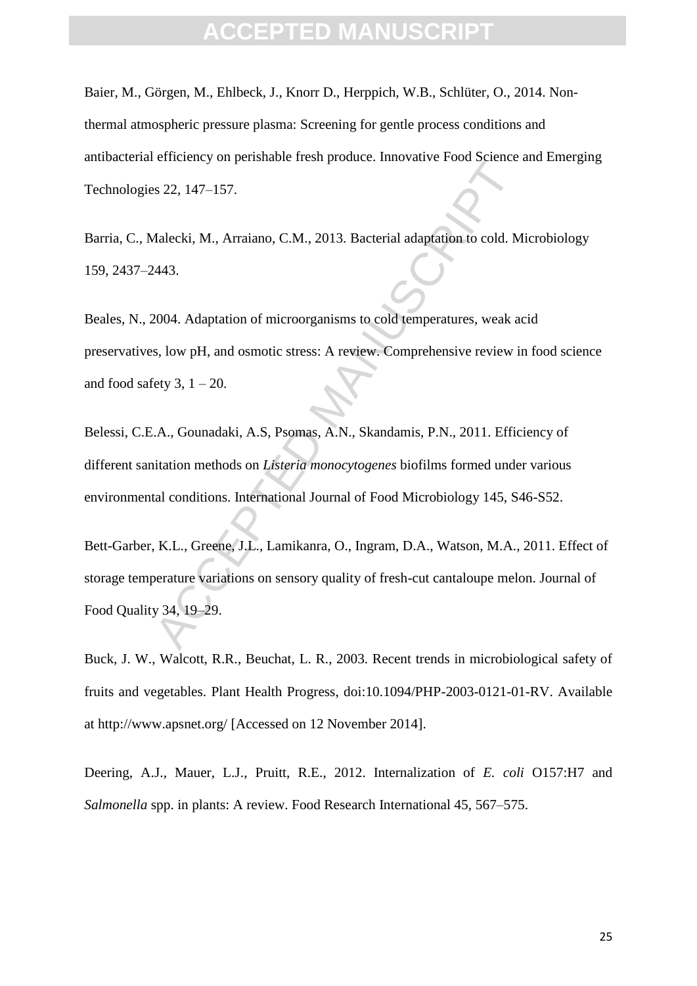Baier, M., Görgen, M., Ehlbeck, J., Knorr D., Herppich, W.B., Schlüter, O., 2014. Nonthermal atmospheric pressure plasma: Screening for gentle process conditions and antibacterial efficiency on perishable fresh produce. Innovative Food Science and Emerging Technologies 22, 147–157.

Barria, C., Malecki, M., Arraiano, C.M., 2013. Bacterial adaptation to cold. Microbiology 159, 2437–2443.

Sensitive Total product. Internative Food science<br>Sensitive Food science<br>Sensitive Food science<br>Adalecki, M., Arraiano, C.M., 2013. Bacterial adaptation to cold. M<br>A443.<br>2004. Adaptation of microorganisms to cold temperatu Beales, N., 2004. Adaptation of microorganisms to cold temperatures, weak acid preservatives, low pH, and osmotic stress: A review. Comprehensive review in food science and food safety 3,  $1 - 20$ .

Belessi, C.E.A., Gounadaki, A.S, Psomas, A.N., Skandamis, P.N., 2011. Efficiency of different sanitation methods on *Listeria monocytogenes* biofilms formed under various environmental conditions. International Journal of Food Microbiology 145, S46-S52.

Bett-Garber, K.L., Greene, J.L., Lamikanra, O., Ingram, D.A., Watson, M.A., 2011. Effect of storage temperature variations on sensory quality of fresh-cut cantaloupe melon. Journal of Food Quality 34, 19–29.

Buck, J. W., Walcott, R.R., Beuchat, L. R., 2003. Recent trends in microbiological safety of fruits and vegetables. Plant Health Progress, doi:10.1094/PHP-2003-0121-01-RV. Available at http://www.apsnet.org/ [Accessed on 12 November 2014].

Deering, A.J., Mauer, L.J., Pruitt, R.E., 2012. Internalization of *E. coli* O157:H7 and *Salmonella* spp. in plants: A review. Food Research International 45, 567–575.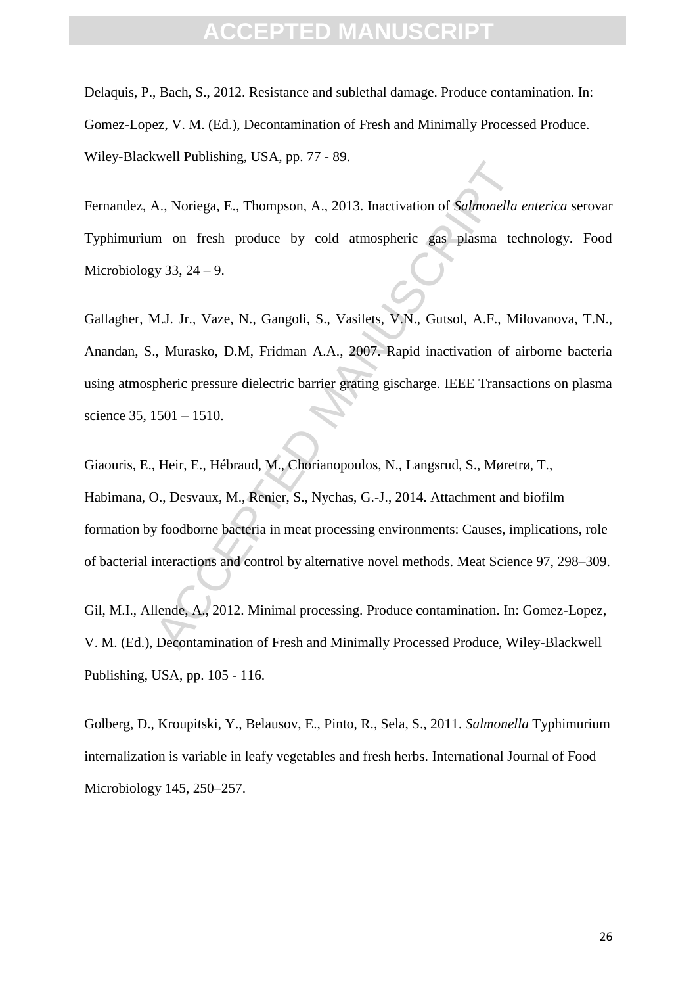Delaquis, P., Bach, S., 2012. Resistance and sublethal damage. Produce contamination. In: Gomez-Lopez, V. M. (Ed.), Decontamination of Fresh and Minimally Processed Produce. Wiley-Blackwell Publishing, USA, pp. 77 - 89.

Fernandez, A., Noriega, E., Thompson, A., 2013. Inactivation of *Salmonella enterica* serovar Typhimurium on fresh produce by cold atmospheric gas plasma technology. Food Microbiology 33,  $24 - 9$ .

A., Noriega, E., Thompson, A., 2013. Inactivation of *Salmonella*<br>m on fresh produce by cold atmospheric gas plasma tec<br>y 33, 24 – 9.<br>M.J. Jr., Vaze, N., Gangoli, S., Vasilets, V.N., Gutsol, A.F., Mi<br>m., Murasko, D.M, Frid Gallagher, M.J. Jr., Vaze, N., Gangoli, S., Vasilets, V.N., Gutsol, A.F., Milovanova, T.N., Anandan, S., Murasko, D.M, Fridman A.A., 2007. Rapid inactivation of airborne bacteria using atmospheric pressure dielectric barrier grating gischarge. IEEE Transactions on plasma science 35, 1501 – 1510.

Giaouris, E., Heir, E., Hébraud, M., Chorianopoulos, N., Langsrud, S., Møretrø, T., Habimana, O., Desvaux, M., Renier, S., Nychas, G.-J., 2014. Attachment and biofilm formation by foodborne bacteria in meat processing environments: Causes, implications, role of bacterial interactions and control by alternative novel methods. Meat Science 97, 298–309.

Gil, M.I., Allende, A., 2012. Minimal processing. Produce contamination. In: Gomez-Lopez, V. M. (Ed.), Decontamination of Fresh and Minimally Processed Produce, Wiley-Blackwell Publishing, USA, pp. 105 - 116.

Golberg, D., Kroupitski, Y., Belausov, E., Pinto, R., Sela, S., 2011. *Salmonella* Typhimurium internalization is variable in leafy vegetables and fresh herbs. International Journal of Food Microbiology 145, 250–257.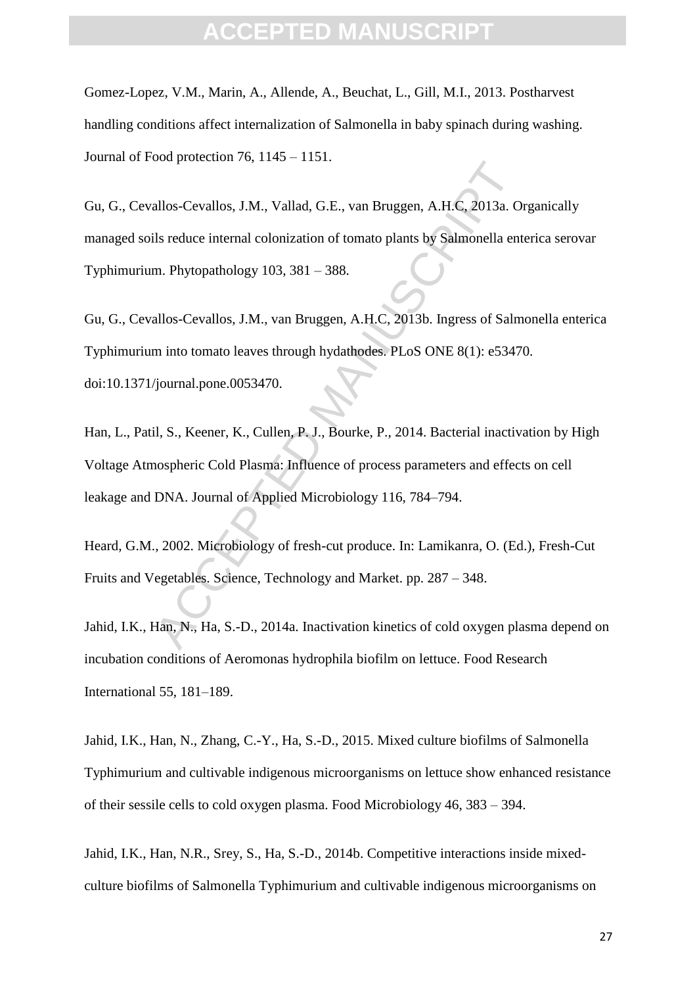### FPTED MANI

Gomez-Lopez, V.M., Marin, A., Allende, A., Beuchat, L., Gill, M.I., 2013. Postharvest handling conditions affect internalization of Salmonella in baby spinach during washing. Journal of Food protection 76, 1145 – 1151.

allos-Cevallos, J.M., Vallad, G.E., van Bruggen, A.H.C, 2013a. O<br>allos-Cevallos, J.M., Vallad, G.E., van Bruggen, A.H.C, 2013a. O<br>allos-Cevallos, J.M., van Bruggen, A.H.C, 2013b. Ingress of Salm<br>allos-Cevallos, J.M., van B Gu, G., Cevallos-Cevallos, J.M., Vallad, G.E., van Bruggen, A.H.C, 2013a. Organically managed soils reduce internal colonization of tomato plants by Salmonella enterica serovar Typhimurium. Phytopathology 103, 381 – 388.

Gu, G., Cevallos-Cevallos, J.M., van Bruggen, A.H.C, 2013b. Ingress of Salmonella enterica Typhimurium into tomato leaves through hydathodes. PLoS ONE 8(1): e53470. doi:10.1371/journal.pone.0053470.

Han, L., Patil, S., Keener, K., Cullen, P. J., Bourke, P., 2014. Bacterial inactivation by High Voltage Atmospheric Cold Plasma: Influence of process parameters and effects on cell leakage and DNA. Journal of Applied Microbiology 116, 784–794.

Heard, G.M., 2002. Microbiology of fresh-cut produce. In: Lamikanra, O. (Ed.), Fresh-Cut Fruits and Vegetables. Science, Technology and Market. pp. 287 – 348.

Jahid, I.K., Han, N., Ha, S.-D., 2014a. Inactivation kinetics of cold oxygen plasma depend on incubation conditions of Aeromonas hydrophila biofilm on lettuce. Food Research International 55, 181–189.

Jahid, I.K., Han, N., Zhang, C.-Y., Ha, S.-D., 2015. Mixed culture biofilms of Salmonella Typhimurium and cultivable indigenous microorganisms on lettuce show enhanced resistance of their sessile cells to cold oxygen plasma. Food Microbiology 46, 383 – 394.

Jahid, I.K., Han, N.R., Srey, S., Ha, S.-D., 2014b. Competitive interactions inside mixedculture biofilms of Salmonella Typhimurium and cultivable indigenous microorganisms on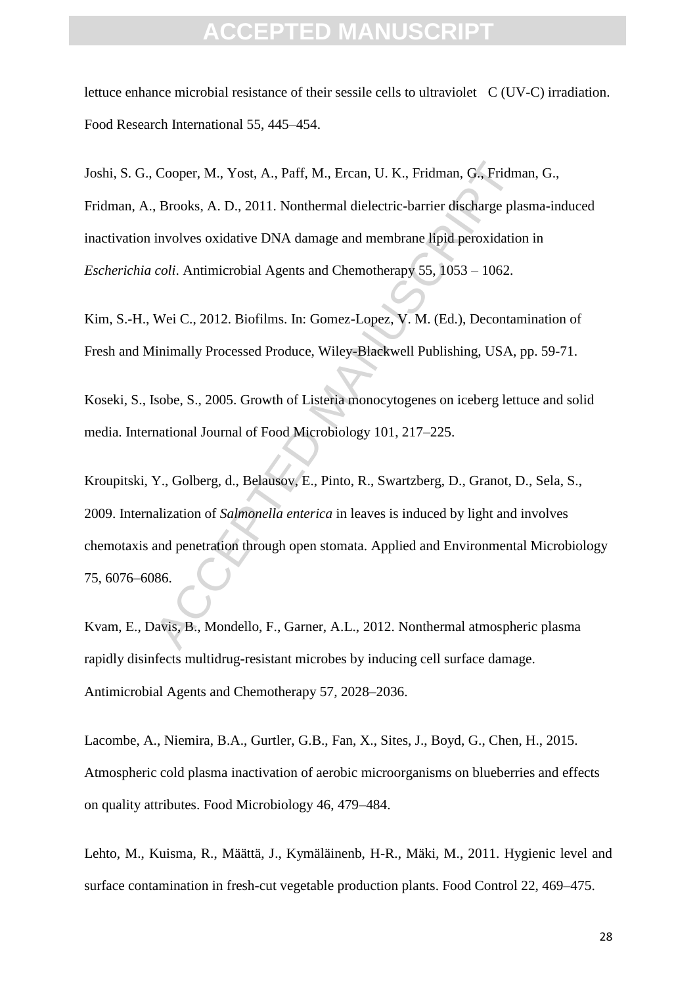### **CEPTED MANU**

lettuce enhance microbial resistance of their sessile cells to ultraviolet C (UV-C) irradiation. Food Research International 55, 445–454.

Cooper, M., Yost, A., Paff, M., Ercan, U. K., Fridman, G., Fridm, Brooks, A. D., 2011. Nonthermal dielectric-barrier discharge pla<br>involves oxidative DNA damage and membrane lipid peroxidatio<br>coli. Antimicrobial Agents and Joshi, S. G., Cooper, M., Yost, A., Paff, M., Ercan, U. K., Fridman, G., Fridman, G., Fridman, A., Brooks, A. D., 2011. Nonthermal dielectric-barrier discharge plasma-induced inactivation involves oxidative DNA damage and membrane lipid peroxidation in *Escherichia coli*. Antimicrobial Agents and Chemotherapy 55, 1053 – 1062.

Kim, S.-H., Wei C., 2012. Biofilms. In: Gomez-Lopez, V. M. (Ed.), Decontamination of Fresh and Minimally Processed Produce, Wiley-Blackwell Publishing, USA, pp. 59-71.

Koseki, S., Isobe, S., 2005. Growth of Listeria monocytogenes on iceberg lettuce and solid media. International Journal of Food Microbiology 101, 217–225.

Kroupitski, Y., Golberg, d., Belausov, E., Pinto, R., Swartzberg, D., Granot, D., Sela, S., 2009. Internalization of *Salmonella enterica* in leaves is induced by light and involves chemotaxis and penetration through open stomata. Applied and Environmental Microbiology 75, 6076–6086.

Kvam, E., Davis, B., Mondello, F., Garner, A.L., 2012. Nonthermal atmospheric plasma rapidly disinfects multidrug-resistant microbes by inducing cell surface damage. Antimicrobial Agents and Chemotherapy 57*,* 2028–2036.

Lacombe, A., Niemira, B.A., Gurtler, G.B., Fan, X., Sites, J., Boyd, G., Chen, H., 2015. Atmospheric cold plasma inactivation of aerobic microorganisms on blueberries and effects on quality attributes. Food Microbiology 46, 479–484.

Lehto, M., Kuisma, R., Määttä, J., Kymäläinenb, H-R., Mäki, M., 2011. Hygienic level and surface contamination in fresh-cut vegetable production plants. Food Control 22, 469–475.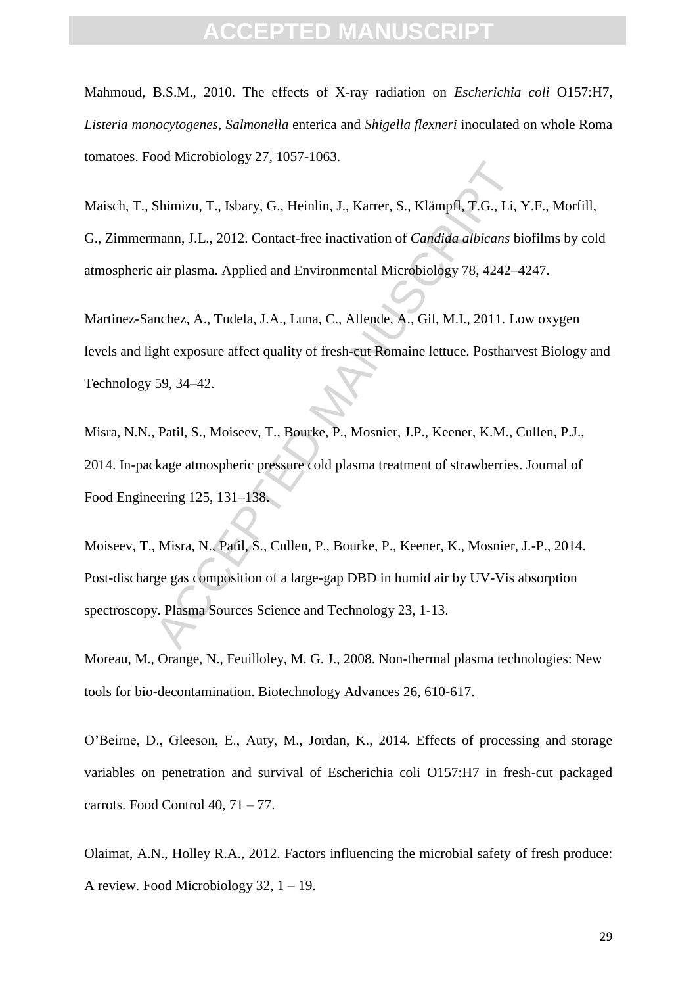### **CEPTED MANU**

Mahmoud, B.S.M., 2010. The effects of X-ray radiation on *Escherichia coli* O157:H7, *Listeria monocytogenes*, *Salmonella* enterica and *Shigella flexneri* inoculated on whole Roma tomatoes. Food Microbiology 27, 1057-1063.

Maisch, T., Shimizu, T., Isbary, G., Heinlin, J., Karrer, S., Klämpfl, T.G., Li, Y.F., Morfill, G., Zimmermann, J.L., 2012. Contact-free inactivation of *Candida albicans* biofilms by cold atmospheric air plasma. Applied and Environmental Microbiology 78, 4242–4247.

Martinez-Sanchez, A., Tudela, J.A., Luna, C., Allende, A., Gil, M.I., 2011. Low oxygen levels and light exposure affect quality of fresh-cut Romaine lettuce. Postharvest Biology and Technology 59, 34–42.

Misra, N.N., Patil, S., Moiseev, T., Bourke, P., Mosnier, J.P., Keener, K.M., Cullen, P.J., 2014. In-package atmospheric pressure cold plasma treatment of strawberries. Journal of Food Engineering 125, 131–138.

Shimizu, T., Isbary, G., Heinlin, J., Karrer, S., Klämpfl, T.G., Li, Thann, J.L., 2012. Contact-free inactivation of *Candida abicans* bi air plasma. Applied and Environmental Microbiology 78, 4242–4 mchez, A., Tudela, J.A Moiseev, T., Misra, N., Patil, S., Cullen, P., Bourke, P., Keener, K., Mosnier, J.-P., 2014. Post-discharge gas composition of a large-gap DBD in humid air by UV-Vis absorption spectroscopy. Plasma Sources Science and Technology 23, 1-13.

Moreau, M., Orange, N., Feuilloley, M. G. J., 2008. Non-thermal plasma technologies: New tools for bio-decontamination. Biotechnology Advances 26, 610-617.

O'Beirne, D., Gleeson, E., Auty, M., Jordan, K., 2014. Effects of processing and storage variables on penetration and survival of Escherichia coli O157:H7 in fresh-cut packaged carrots. Food Control  $40, 71 - 77$ .

Olaimat, A.N., Holley R.A., 2012. Factors influencing the microbial safety of fresh produce: A review. Food Microbiology 32, 1 – 19.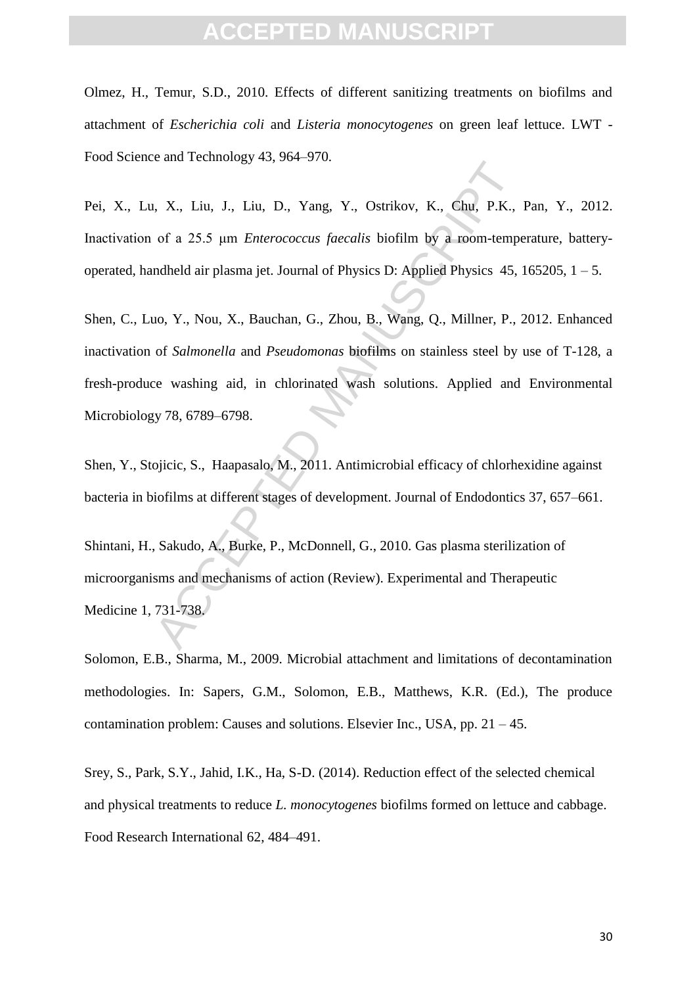Olmez, H., Temur, S.D., 2010. Effects of different sanitizing treatments on biofilms and attachment of *Escherichia coli* and *Listeria monocytogenes* on green leaf lettuce. LWT - Food Science and Technology 43, 964–970.

Pei, X., Lu, X., Liu, J., Liu, D., Yang, Y., Ostrikov, K., Chu, P.K., Pan, Y., 2012. Inactivation of a 25.5 μm *Enterococcus faecalis* biofilm by a room-temperature, batteryoperated, handheld air plasma jet. Journal of Physics D: Applied Physics  $45$ ,  $165205$ ,  $1 - 5$ .

and Feedmology 15, 501 576.<br>
A. X., Liu, J., Liu, D., Yang, Y., Ostrikov, K., Chu, P.K.,<br>
of a 25.5 µm *Enterococcus faecalis* biofilm by a room-temperable dair plasma jet. Journal of Physics D: Applied Physics 45,<br>
100, Y Shen, C., Luo, Y., Nou, X., Bauchan, G., Zhou, B., Wang, Q., Millner, P., 2012. Enhanced inactivation of *Salmonella* and *Pseudomonas* biofilms on stainless steel by use of T-128, a fresh-produce washing aid, in chlorinated wash solutions. Applied and Environmental Microbiology 78, 6789–6798.

Shen, Y., Stojicic, S., Haapasalo, M., 2011. Antimicrobial efficacy of chlorhexidine against bacteria in biofilms at different stages of development. Journal of Endodontics 37, 657–661.

Shintani, H., Sakudo, A., Burke, P., McDonnell, G., 2010. Gas plasma sterilization of microorganisms and mechanisms of action (Review). Experimental and Therapeutic Medicine 1, 731-738.

Solomon, E.B., Sharma, M., 2009. Microbial attachment and limitations of decontamination methodologies. In: Sapers, G.M., Solomon, E.B., Matthews, K.R. (Ed.), The produce contamination problem: Causes and solutions. Elsevier Inc., USA, pp.  $21 - 45$ .

Srey, S., Park, S.Y., Jahid, I.K., Ha, S-D. (2014). Reduction effect of the selected chemical and physical treatments to reduce *L. monocytogenes* biofilms formed on lettuce and cabbage. Food Research International 62, 484–491.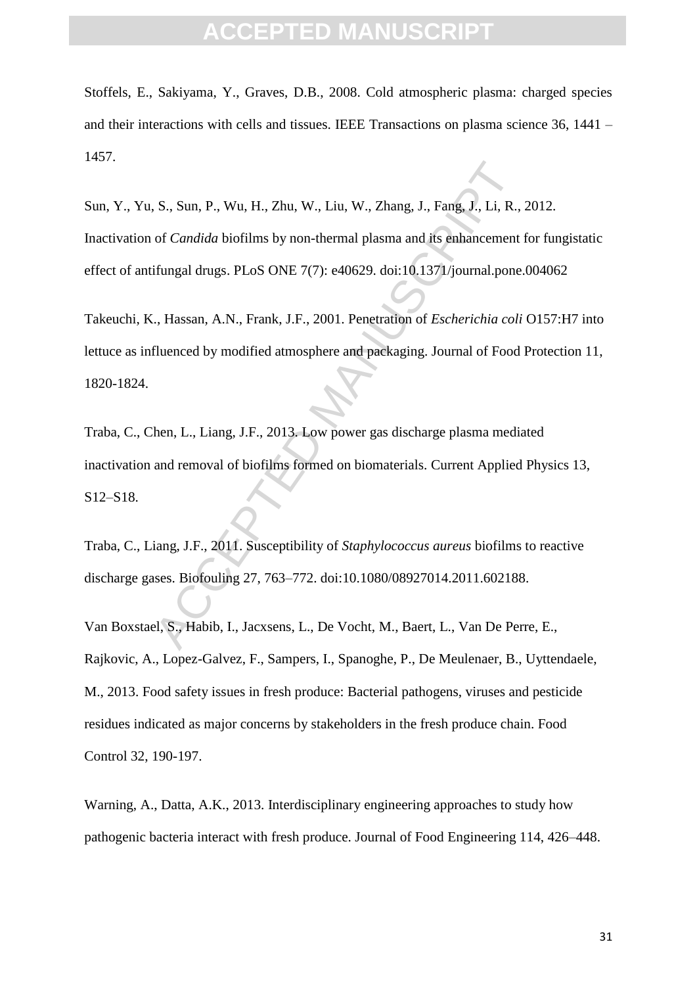Stoffels, E., Sakiyama, Y., Graves, D.B., 2008. Cold atmospheric plasma: charged species and their interactions with cells and tissues. IEEE Transactions on plasma science 36, 1441 – 1457.

S., Sun, P., Wu, H., Zhu, W., Liu, W., Zhang, J., Fang, J., Li, R.,<br>of *Candida* biofilms by non-thermal plasma and its enhancement<br>ifungal drugs. PLoS ONE 7(7): e40629. doi:10.1371/journal.pone<br>.., Hassan, A.N., Frank, J. Sun, Y., Yu, S., Sun, P., Wu, H., Zhu, W., Liu, W., Zhang, J., Fang, J., Li, R., 2012. Inactivation of *Candida* biofilms by non-thermal plasma and its enhancement for fungistatic effect of antifungal drugs. PLoS ONE 7(7): e40629. doi:10.1371/journal.pone.004062

Takeuchi, K., Hassan, A.N., Frank, J.F., 2001. Penetration of *Escherichia coli* O157:H7 into lettuce as influenced by modified atmosphere and packaging. Journal of Food Protection 11, 1820-1824.

Traba, C., Chen, L., Liang, J.F., 2013. Low power gas discharge plasma mediated inactivation and removal of biofilms formed on biomaterials. Current Applied Physics 13, S12–S18.

Traba, C., Liang, J.F., 2011. Susceptibility of *Staphylococcus aureus* biofilms to reactive discharge gases. Biofouling 27, 763–772. doi:10.1080/08927014.2011.602188.

Van Boxstael, S., Habib, I., Jacxsens, L., De Vocht, M., Baert, L., Van De Perre, E., Rajkovic, A., Lopez-Galvez, F., Sampers, I., Spanoghe, P., De Meulenaer, B., Uyttendaele, M., 2013. Food safety issues in fresh produce: Bacterial pathogens, viruses and pesticide residues indicated as major concerns by stakeholders in the fresh produce chain. Food Control 32, 190-197.

Warning, A., Datta, A.K., 2013. Interdisciplinary engineering approaches to study how pathogenic bacteria interact with fresh produce. Journal of Food Engineering 114, 426–448.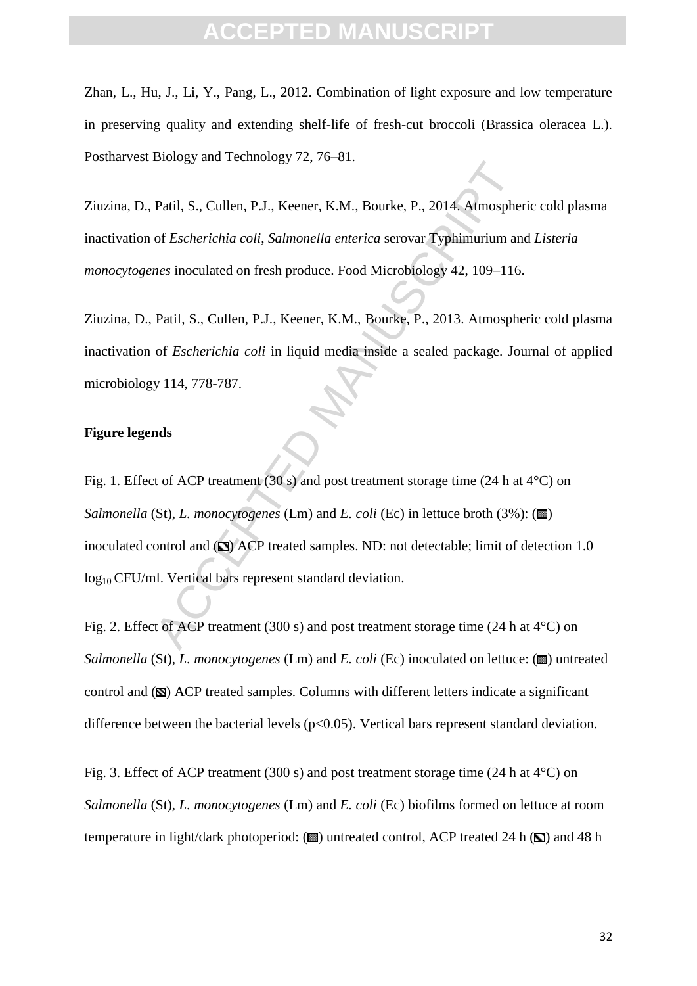### **CEPTED MANUS**

Zhan, L., Hu, J., Li, Y., Pang, L., 2012. Combination of light exposure and low temperature in preserving quality and extending shelf-life of fresh-cut broccoli (Brassica oleracea L.). Postharvest Biology and Technology 72, 76–81.

Ziuzina, D., Patil, S., Cullen, P.J., Keener, K.M., Bourke, P., 2014. Atmospheric cold plasma inactivation of *Escherichia coli*, *Salmonella enterica* serovar Typhimurium and *Listeria monocytogenes* inoculated on fresh produce. Food Microbiology 42, 109–116.

Ziuzina, D., Patil, S., Cullen, P.J., Keener, K.M., Bourke, P., 2013. Atmospheric cold plasma inactivation of *Escherichia coli* in liquid media inside a sealed package. Journal of applied microbiology 114, 778-787.

#### **Figure legends**

Patil, S., Cullen, P.J., Keener, K.M., Bourke, P., 2014. Atmosphe<br>of *Escherichia coli, Salmonella enterica* serovar Typhimurium an<br>*nes* inoculated on fresh produce. Food Microbiology 42, 109–116<br>Patil, S., Cullen, P.J., Fig. 1. Effect of ACP treatment (30 s) and post treatment storage time (24 h at  $4^{\circ}$ C) on *Salmonella* (St), *L. monocytogenes* (Lm) and *E. coli* (Ec) in lettuce broth (3%): ( $\blacksquare$ ) inoculated control and  $(\Box)$  ACP treated samples. ND: not detectable; limit of detection 1.0 log<sub>10</sub> CFU/ml. Vertical bars represent standard deviation.

Fig. 2. Effect of ACP treatment (300 s) and post treatment storage time (24 h at 4°C) on *Salmonella* (St), *L. monocytogenes* (Lm) and *E. coli* (Ec) inoculated on lettuce: ( $\blacksquare$ ) untreated control and  $(\mathbf{N})$  ACP treated samples. Columns with different letters indicate a significant difference between the bacterial levels  $(p<0.05)$ . Vertical bars represent standard deviation.

Fig. 3. Effect of ACP treatment (300 s) and post treatment storage time (24 h at  $4^{\circ}$ C) on *Salmonella* (St), *L. monocytogenes* (Lm) and *E. coli* (Ec) biofilms formed on lettuce at room temperature in light/dark photoperiod:  $(\blacksquare)$  untreated control, ACP treated 24 h  $(\blacksquare)$  and 48 h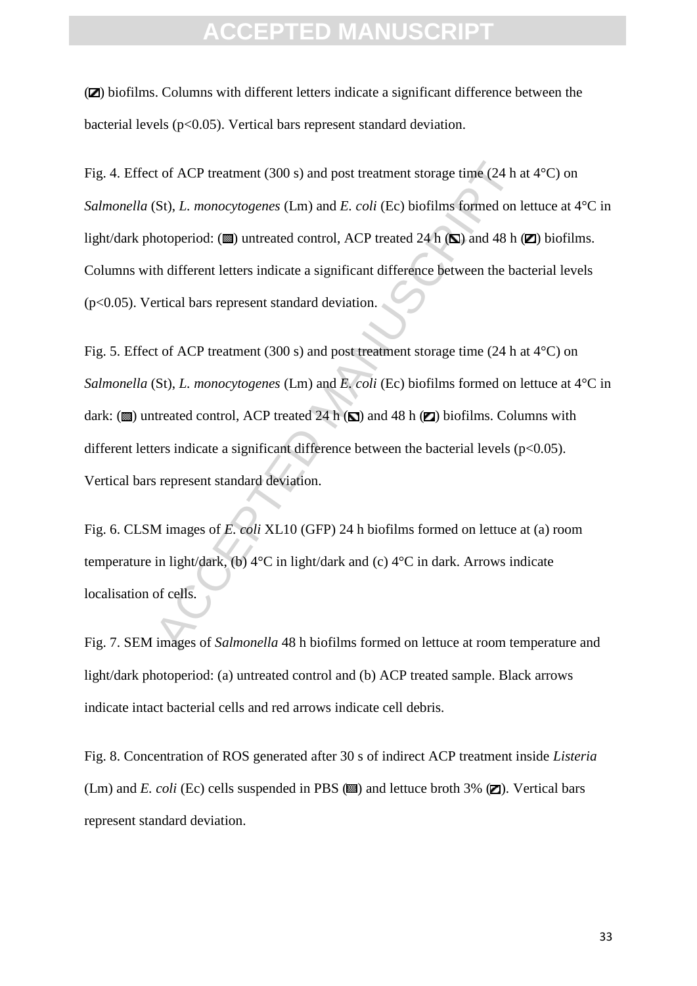(**Z**) biofilms. Columns with different letters indicate a significant difference between the bacterial levels (p<0.05). Vertical bars represent standard deviation.

t of ACP treatment (300 s) and post treatment storage time (24 h a<br>(St), *L. monocytogenes* (Lm) and *E. coli* (Ec) biofilms formed on lotoperiod: ( $\square$ ) untreated control, ACP treated 24 h ( $\square$ ) and 48 h th different le Fig. 4. Effect of ACP treatment (300 s) and post treatment storage time (24 h at 4°C) on *Salmonella* (St), *L. monocytogenes* (Lm) and *E. coli* (Ec) biofilms formed on lettuce at 4°C in light/dark photoperiod: ( $\blacksquare$ ) untreated control, ACP treated 24 h ( $\blacksquare$ ) and 48 h ( $\blacksquare$ ) biofilms. Columns with different letters indicate a significant difference between the bacterial levels (p<0.05). Vertical bars represent standard deviation.

Fig. 5. Effect of ACP treatment (300 s) and post treatment storage time (24 h at 4°C) on *Salmonella* (St), *L. monocytogenes* (Lm) and *E. coli* (Ec) biofilms formed on lettuce at 4°C in dark:  $(\blacksquare)$  untreated control, ACP treated 24 h  $(\blacksquare)$  and 48 h  $(\blacksquare)$  biofilms. Columns with different letters indicate a significant difference between the bacterial levels  $(p<0.05)$ . Vertical bars represent standard deviation.

Fig. 6. CLSM images of *E. coli* XL10 (GFP) 24 h biofilms formed on lettuce at (a) room temperature in light/dark, (b) 4°C in light/dark and (c) 4°C in dark. Arrows indicate localisation of cells.

Fig. 7. SEM images of *Salmonella* 48 h biofilms formed on lettuce at room temperature and light/dark photoperiod: (a) untreated control and (b) ACP treated sample. Black arrows indicate intact bacterial cells and red arrows indicate cell debris.

Fig. 8. Concentration of ROS generated after 30 s of indirect ACP treatment inside *Listeria* (Lm) and *E. coli* (Ec) cells suspended in PBS  $(\blacksquare)$  and lettuce broth 3%  $(\blacksquare)$ . Vertical bars represent standard deviation.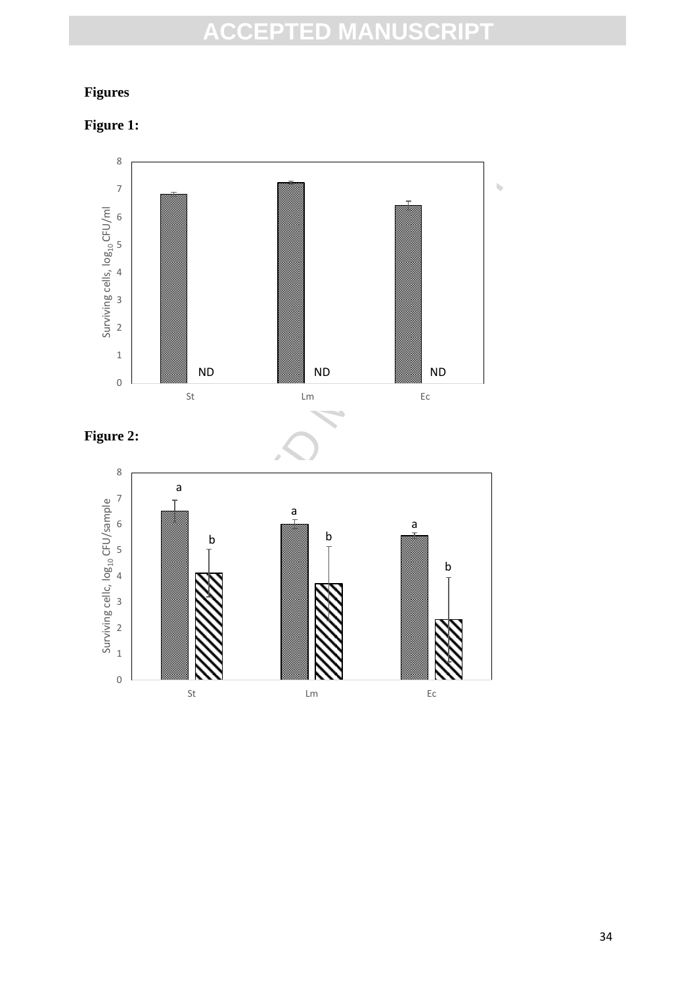### **Figures**

**Figure 1:**

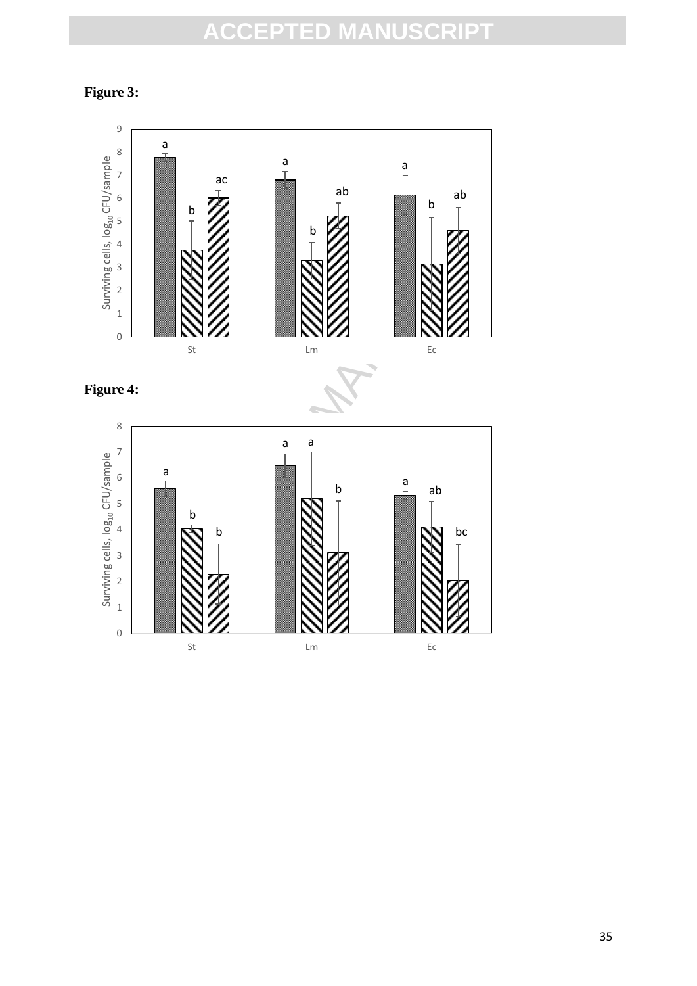**Figure 3:**

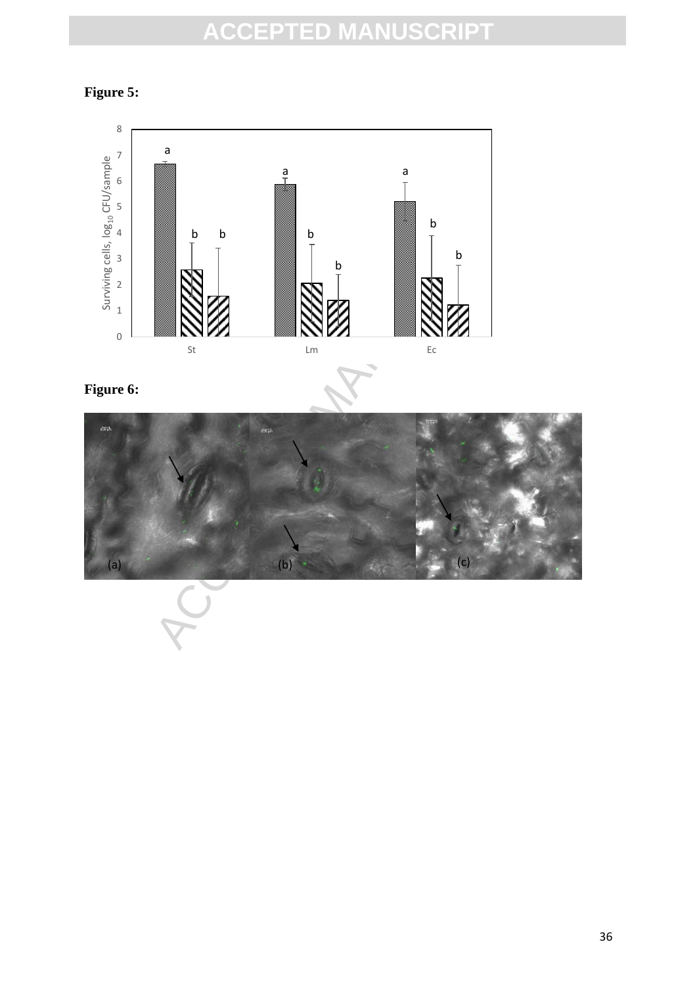### **Figure 5:**



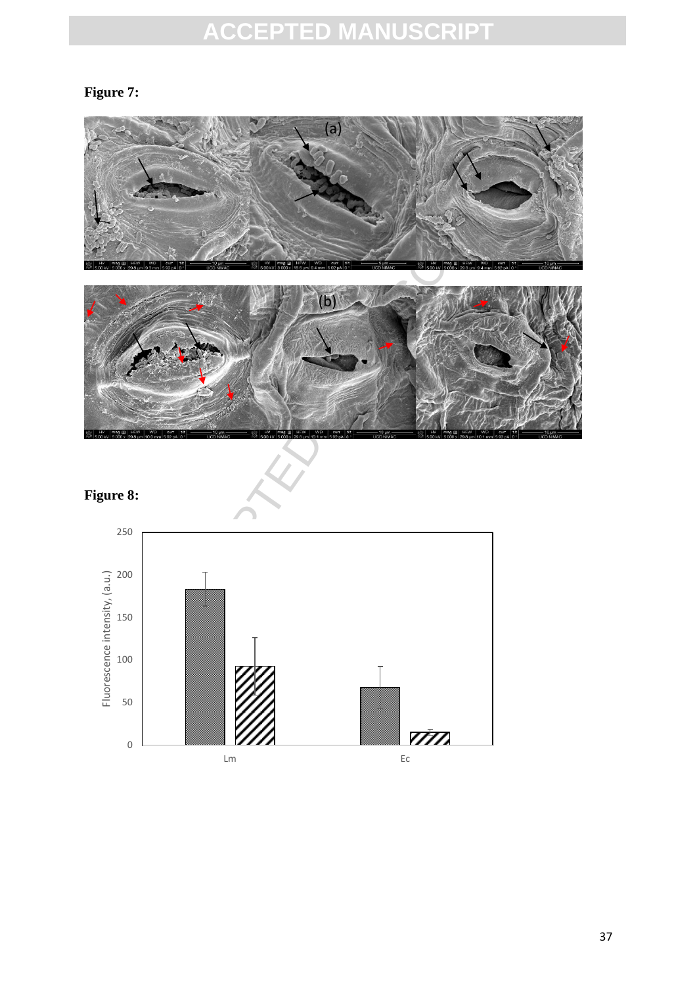### **Figure 7:**



### **Figure 8:**